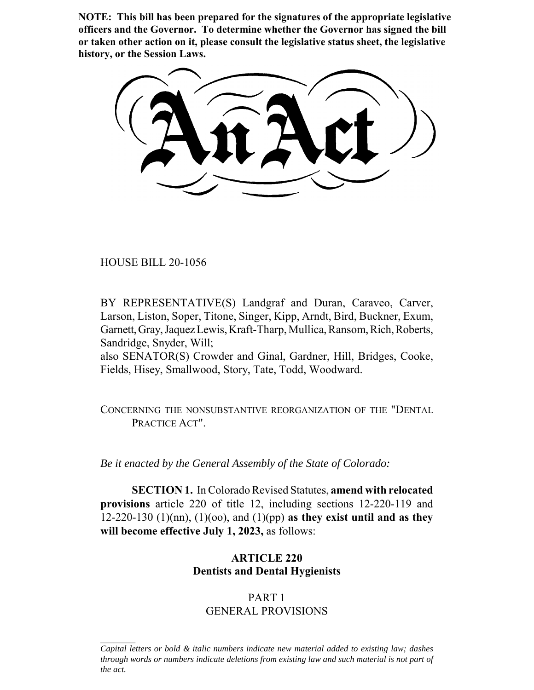**NOTE: This bill has been prepared for the signatures of the appropriate legislative officers and the Governor. To determine whether the Governor has signed the bill or taken other action on it, please consult the legislative status sheet, the legislative history, or the Session Laws.**

HOUSE BILL 20-1056

BY REPRESENTATIVE(S) Landgraf and Duran, Caraveo, Carver, Larson, Liston, Soper, Titone, Singer, Kipp, Arndt, Bird, Buckner, Exum, Garnett, Gray, Jaquez Lewis, Kraft-Tharp, Mullica, Ransom, Rich, Roberts, Sandridge, Snyder, Will;

also SENATOR(S) Crowder and Ginal, Gardner, Hill, Bridges, Cooke, Fields, Hisey, Smallwood, Story, Tate, Todd, Woodward.

CONCERNING THE NONSUBSTANTIVE REORGANIZATION OF THE "DENTAL PRACTICE ACT".

*Be it enacted by the General Assembly of the State of Colorado:*

**SECTION 1.** In Colorado Revised Statutes, **amend with relocated provisions** article 220 of title 12, including sections 12-220-119 and 12-220-130 (1)(nn), (1)(oo), and (1)(pp) **as they exist until and as they will become effective July 1, 2023,** as follows:

## **ARTICLE 220 Dentists and Dental Hygienists**

## PART 1 GENERAL PROVISIONS

*Capital letters or bold & italic numbers indicate new material added to existing law; dashes through words or numbers indicate deletions from existing law and such material is not part of the act.*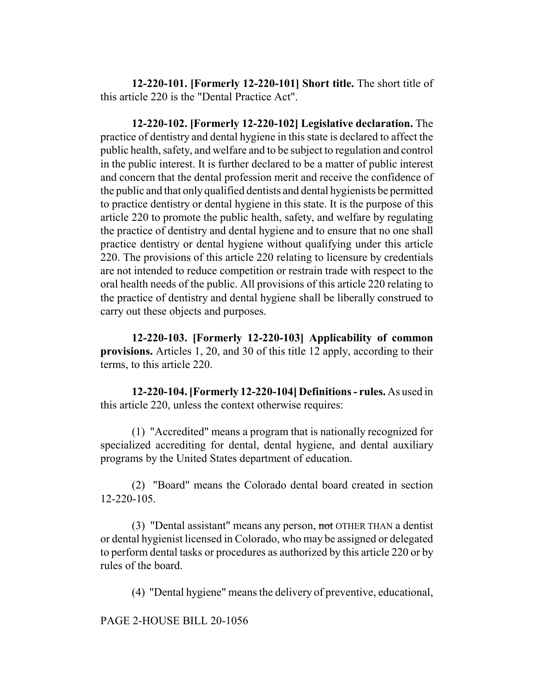**12-220-101. [Formerly 12-220-101] Short title.** The short title of this article 220 is the "Dental Practice Act".

**12-220-102. [Formerly 12-220-102] Legislative declaration.** The practice of dentistry and dental hygiene in this state is declared to affect the public health, safety, and welfare and to be subject to regulation and control in the public interest. It is further declared to be a matter of public interest and concern that the dental profession merit and receive the confidence of the public and that only qualified dentists and dental hygienists be permitted to practice dentistry or dental hygiene in this state. It is the purpose of this article 220 to promote the public health, safety, and welfare by regulating the practice of dentistry and dental hygiene and to ensure that no one shall practice dentistry or dental hygiene without qualifying under this article 220. The provisions of this article 220 relating to licensure by credentials are not intended to reduce competition or restrain trade with respect to the oral health needs of the public. All provisions of this article 220 relating to the practice of dentistry and dental hygiene shall be liberally construed to carry out these objects and purposes.

**12-220-103. [Formerly 12-220-103] Applicability of common provisions.** Articles 1, 20, and 30 of this title 12 apply, according to their terms, to this article 220.

**12-220-104. [Formerly 12-220-104] Definitions - rules.** As used in this article 220, unless the context otherwise requires:

(1) "Accredited" means a program that is nationally recognized for specialized accrediting for dental, dental hygiene, and dental auxiliary programs by the United States department of education.

(2) "Board" means the Colorado dental board created in section 12-220-105.

(3) "Dental assistant" means any person, not OTHER THAN a dentist or dental hygienist licensed in Colorado, who may be assigned or delegated to perform dental tasks or procedures as authorized by this article 220 or by rules of the board.

(4) "Dental hygiene" means the delivery of preventive, educational,

PAGE 2-HOUSE BILL 20-1056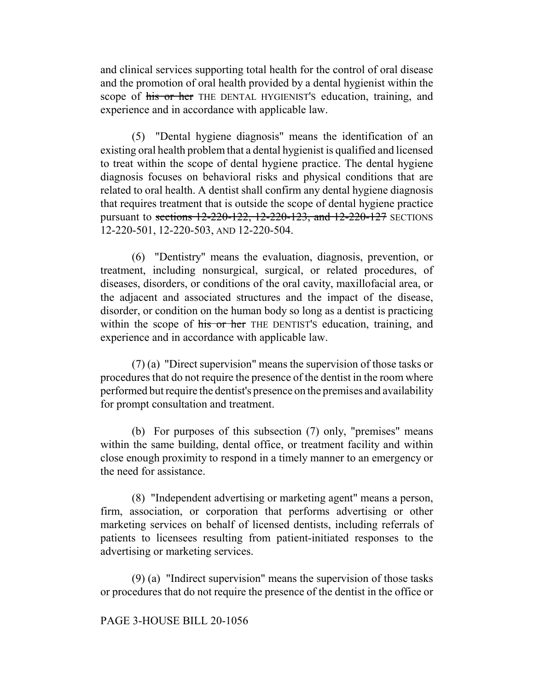and clinical services supporting total health for the control of oral disease and the promotion of oral health provided by a dental hygienist within the scope of his or her THE DENTAL HYGIENIST'S education, training, and experience and in accordance with applicable law.

(5) "Dental hygiene diagnosis" means the identification of an existing oral health problem that a dental hygienist is qualified and licensed to treat within the scope of dental hygiene practice. The dental hygiene diagnosis focuses on behavioral risks and physical conditions that are related to oral health. A dentist shall confirm any dental hygiene diagnosis that requires treatment that is outside the scope of dental hygiene practice pursuant to sections 12-220-122, 12-220-123, and 12-220-127 SECTIONS 12-220-501, 12-220-503, AND 12-220-504.

(6) "Dentistry" means the evaluation, diagnosis, prevention, or treatment, including nonsurgical, surgical, or related procedures, of diseases, disorders, or conditions of the oral cavity, maxillofacial area, or the adjacent and associated structures and the impact of the disease, disorder, or condition on the human body so long as a dentist is practicing within the scope of his or her THE DENTIST's education, training, and experience and in accordance with applicable law.

(7) (a) "Direct supervision" means the supervision of those tasks or procedures that do not require the presence of the dentist in the room where performed but require the dentist's presence on the premises and availability for prompt consultation and treatment.

(b) For purposes of this subsection (7) only, "premises" means within the same building, dental office, or treatment facility and within close enough proximity to respond in a timely manner to an emergency or the need for assistance.

(8) "Independent advertising or marketing agent" means a person, firm, association, or corporation that performs advertising or other marketing services on behalf of licensed dentists, including referrals of patients to licensees resulting from patient-initiated responses to the advertising or marketing services.

(9) (a) "Indirect supervision" means the supervision of those tasks or procedures that do not require the presence of the dentist in the office or

#### PAGE 3-HOUSE BILL 20-1056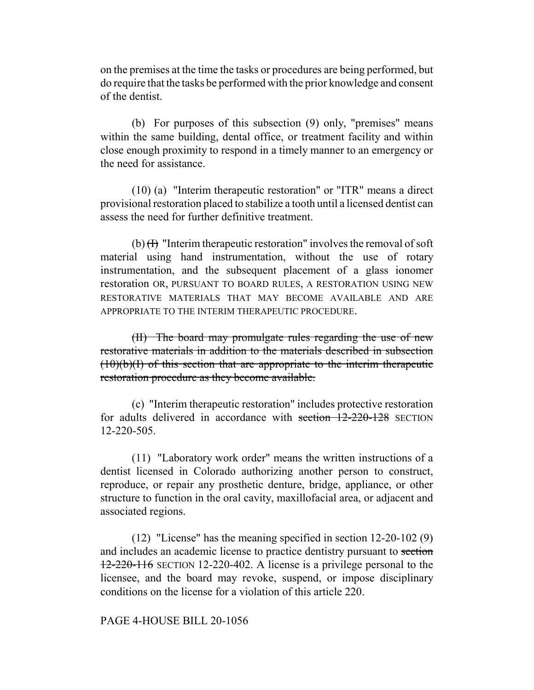on the premises at the time the tasks or procedures are being performed, but do require that the tasks be performed with the prior knowledge and consent of the dentist.

(b) For purposes of this subsection (9) only, "premises" means within the same building, dental office, or treatment facility and within close enough proximity to respond in a timely manner to an emergency or the need for assistance.

(10) (a) "Interim therapeutic restoration" or "ITR" means a direct provisional restoration placed to stabilize a tooth until a licensed dentist can assess the need for further definitive treatment.

(b)  $(H)$  "Interim therapeutic restoration" involves the removal of soft material using hand instrumentation, without the use of rotary instrumentation, and the subsequent placement of a glass ionomer restoration OR, PURSUANT TO BOARD RULES, A RESTORATION USING NEW RESTORATIVE MATERIALS THAT MAY BECOME AVAILABLE AND ARE APPROPRIATE TO THE INTERIM THERAPEUTIC PROCEDURE.

(II) The board may promulgate rules regarding the use of new restorative materials in addition to the materials described in subsection  $(10)(b)(I)$  of this section that are appropriate to the interim therapeutic restoration procedure as they become available.

(c) "Interim therapeutic restoration" includes protective restoration for adults delivered in accordance with section 12-220-128 SECTION 12-220-505.

(11) "Laboratory work order" means the written instructions of a dentist licensed in Colorado authorizing another person to construct, reproduce, or repair any prosthetic denture, bridge, appliance, or other structure to function in the oral cavity, maxillofacial area, or adjacent and associated regions.

(12) "License" has the meaning specified in section 12-20-102 (9) and includes an academic license to practice dentistry pursuant to section 12-220-116 SECTION 12-220-402. A license is a privilege personal to the licensee, and the board may revoke, suspend, or impose disciplinary conditions on the license for a violation of this article 220.

PAGE 4-HOUSE BILL 20-1056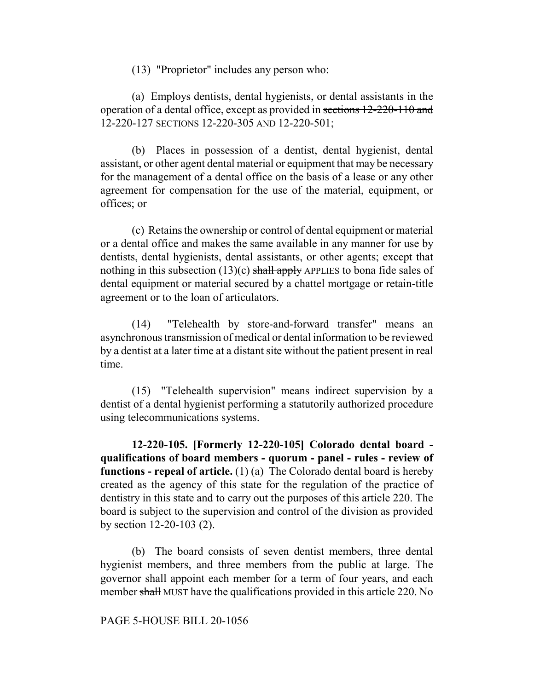(13) "Proprietor" includes any person who:

(a) Employs dentists, dental hygienists, or dental assistants in the operation of a dental office, except as provided in sections 12-220-110 and 12-220-127 SECTIONS 12-220-305 AND 12-220-501;

(b) Places in possession of a dentist, dental hygienist, dental assistant, or other agent dental material or equipment that may be necessary for the management of a dental office on the basis of a lease or any other agreement for compensation for the use of the material, equipment, or offices; or

(c) Retains the ownership or control of dental equipment or material or a dental office and makes the same available in any manner for use by dentists, dental hygienists, dental assistants, or other agents; except that nothing in this subsection  $(13)(c)$  shall apply APPLIES to bona fide sales of dental equipment or material secured by a chattel mortgage or retain-title agreement or to the loan of articulators.

(14) "Telehealth by store-and-forward transfer" means an asynchronous transmission of medical or dental information to be reviewed by a dentist at a later time at a distant site without the patient present in real time.

(15) "Telehealth supervision" means indirect supervision by a dentist of a dental hygienist performing a statutorily authorized procedure using telecommunications systems.

**12-220-105. [Formerly 12-220-105] Colorado dental board qualifications of board members - quorum - panel - rules - review of functions - repeal of article.** (1) (a) The Colorado dental board is hereby created as the agency of this state for the regulation of the practice of dentistry in this state and to carry out the purposes of this article 220. The board is subject to the supervision and control of the division as provided by section 12-20-103 (2).

(b) The board consists of seven dentist members, three dental hygienist members, and three members from the public at large. The governor shall appoint each member for a term of four years, and each member shall MUST have the qualifications provided in this article 220. No

PAGE 5-HOUSE BILL 20-1056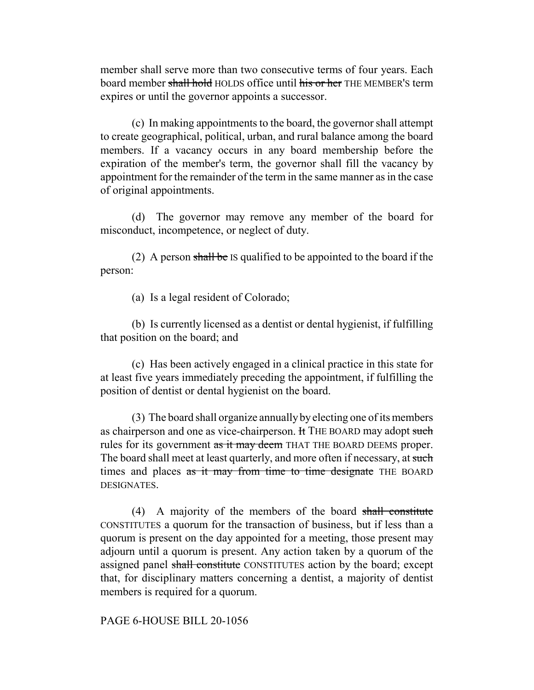member shall serve more than two consecutive terms of four years. Each board member shall hold HOLDS office until his or her THE MEMBER'S term expires or until the governor appoints a successor.

(c) In making appointments to the board, the governor shall attempt to create geographical, political, urban, and rural balance among the board members. If a vacancy occurs in any board membership before the expiration of the member's term, the governor shall fill the vacancy by appointment for the remainder of the term in the same manner as in the case of original appointments.

(d) The governor may remove any member of the board for misconduct, incompetence, or neglect of duty.

(2) A person shall be IS qualified to be appointed to the board if the person:

(a) Is a legal resident of Colorado;

(b) Is currently licensed as a dentist or dental hygienist, if fulfilling that position on the board; and

(c) Has been actively engaged in a clinical practice in this state for at least five years immediately preceding the appointment, if fulfilling the position of dentist or dental hygienist on the board.

(3) The board shall organize annually by electing one of its members as chairperson and one as vice-chairperson. It THE BOARD may adopt such rules for its government as it may deem THAT THE BOARD DEEMS proper. The board shall meet at least quarterly, and more often if necessary, at such times and places as it may from time to time designate THE BOARD DESIGNATES.

(4) A majority of the members of the board shall constitute CONSTITUTES a quorum for the transaction of business, but if less than a quorum is present on the day appointed for a meeting, those present may adjourn until a quorum is present. Any action taken by a quorum of the assigned panel shall constitute CONSTITUTES action by the board; except that, for disciplinary matters concerning a dentist, a majority of dentist members is required for a quorum.

PAGE 6-HOUSE BILL 20-1056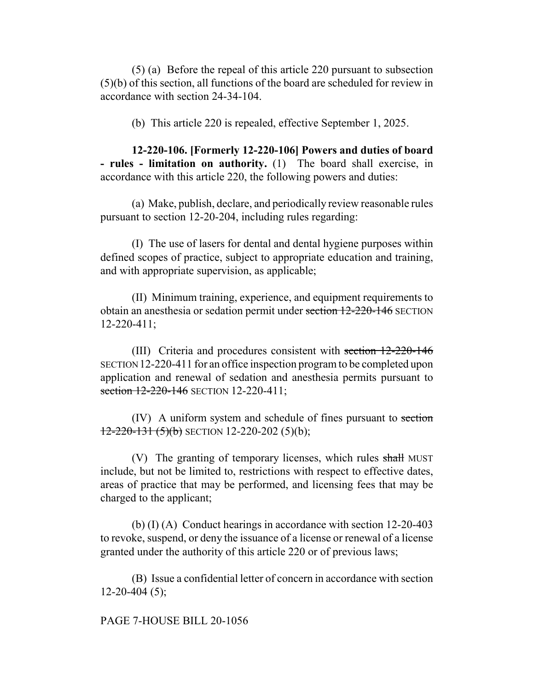(5) (a) Before the repeal of this article 220 pursuant to subsection (5)(b) of this section, all functions of the board are scheduled for review in accordance with section 24-34-104.

(b) This article 220 is repealed, effective September 1, 2025.

**12-220-106. [Formerly 12-220-106] Powers and duties of board - rules - limitation on authority.** (1) The board shall exercise, in accordance with this article 220, the following powers and duties:

(a) Make, publish, declare, and periodically review reasonable rules pursuant to section 12-20-204, including rules regarding:

(I) The use of lasers for dental and dental hygiene purposes within defined scopes of practice, subject to appropriate education and training, and with appropriate supervision, as applicable;

(II) Minimum training, experience, and equipment requirements to obtain an anesthesia or sedation permit under section 12-220-146 SECTION 12-220-411;

(III) Criteria and procedures consistent with section 12-220-146 SECTION 12-220-411 for an office inspection program to be completed upon application and renewal of sedation and anesthesia permits pursuant to section 12-220-146 SECTION 12-220-411;

(IV) A uniform system and schedule of fines pursuant to section  $12-220-131(5)(b)$  SECTION 12-220-202 (5)(b);

(V) The granting of temporary licenses, which rules shall MUST include, but not be limited to, restrictions with respect to effective dates, areas of practice that may be performed, and licensing fees that may be charged to the applicant;

(b) (I) (A) Conduct hearings in accordance with section 12-20-403 to revoke, suspend, or deny the issuance of a license or renewal of a license granted under the authority of this article 220 or of previous laws;

(B) Issue a confidential letter of concern in accordance with section  $12-20-404(5)$ ;

PAGE 7-HOUSE BILL 20-1056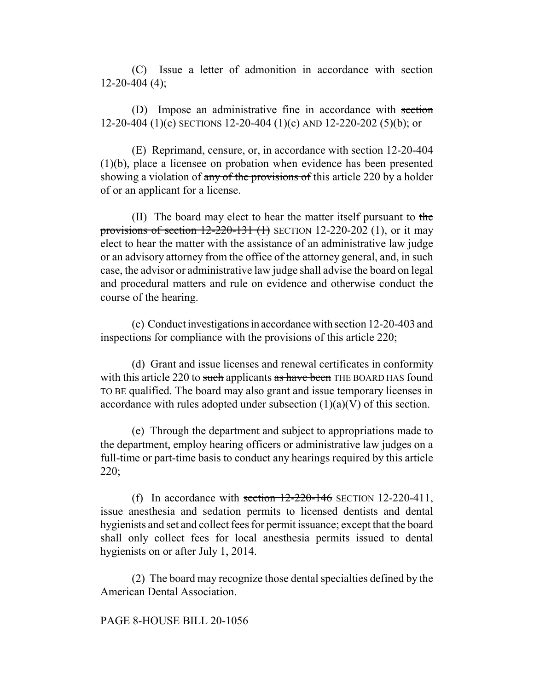(C) Issue a letter of admonition in accordance with section  $12-20-404(4)$ ;

(D) Impose an administrative fine in accordance with section  $12-20-404$  (1)(c) SECTIONS 12-20-404 (1)(c) AND 12-220-202 (5)(b); or

(E) Reprimand, censure, or, in accordance with section 12-20-404 (1)(b), place a licensee on probation when evidence has been presented showing a violation of any of the provisions of this article 220 by a holder of or an applicant for a license.

(II) The board may elect to hear the matter itself pursuant to the provisions of section  $12-220-131$  (1) SECTION 12-220-202 (1), or it may elect to hear the matter with the assistance of an administrative law judge or an advisory attorney from the office of the attorney general, and, in such case, the advisor or administrative law judge shall advise the board on legal and procedural matters and rule on evidence and otherwise conduct the course of the hearing.

(c) Conduct investigations in accordance with section 12-20-403 and inspections for compliance with the provisions of this article 220;

(d) Grant and issue licenses and renewal certificates in conformity with this article 220 to such applicants as have been THE BOARD HAS found TO BE qualified. The board may also grant and issue temporary licenses in accordance with rules adopted under subsection  $(1)(a)(V)$  of this section.

(e) Through the department and subject to appropriations made to the department, employ hearing officers or administrative law judges on a full-time or part-time basis to conduct any hearings required by this article 220;

(f) In accordance with section  $12-220-146$  SECTION 12-220-411, issue anesthesia and sedation permits to licensed dentists and dental hygienists and set and collect fees for permit issuance; except that the board shall only collect fees for local anesthesia permits issued to dental hygienists on or after July 1, 2014.

(2) The board may recognize those dental specialties defined by the American Dental Association.

#### PAGE 8-HOUSE BILL 20-1056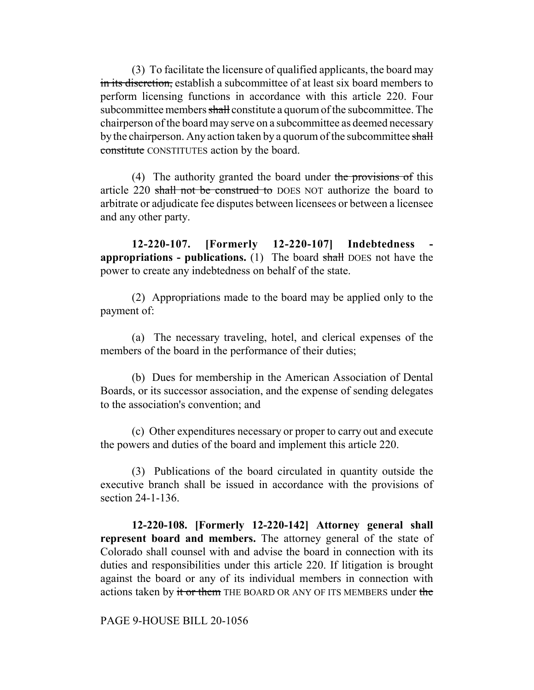(3) To facilitate the licensure of qualified applicants, the board may in its discretion, establish a subcommittee of at least six board members to perform licensing functions in accordance with this article 220. Four subcommittee members shall constitute a quorum of the subcommittee. The chairperson of the board may serve on a subcommittee as deemed necessary by the chairperson. Any action taken by a quorum of the subcommittee shall constitute CONSTITUTES action by the board.

(4) The authority granted the board under the provisions of this article 220 shall not be construed to DOES NOT authorize the board to arbitrate or adjudicate fee disputes between licensees or between a licensee and any other party.

**12-220-107. [Formerly 12-220-107] Indebtedness appropriations - publications.** (1) The board shall DOES not have the power to create any indebtedness on behalf of the state.

(2) Appropriations made to the board may be applied only to the payment of:

(a) The necessary traveling, hotel, and clerical expenses of the members of the board in the performance of their duties;

(b) Dues for membership in the American Association of Dental Boards, or its successor association, and the expense of sending delegates to the association's convention; and

(c) Other expenditures necessary or proper to carry out and execute the powers and duties of the board and implement this article 220.

(3) Publications of the board circulated in quantity outside the executive branch shall be issued in accordance with the provisions of section 24-1-136.

**12-220-108. [Formerly 12-220-142] Attorney general shall represent board and members.** The attorney general of the state of Colorado shall counsel with and advise the board in connection with its duties and responsibilities under this article 220. If litigation is brought against the board or any of its individual members in connection with actions taken by it or them THE BOARD OR ANY OF ITS MEMBERS under the

PAGE 9-HOUSE BILL 20-1056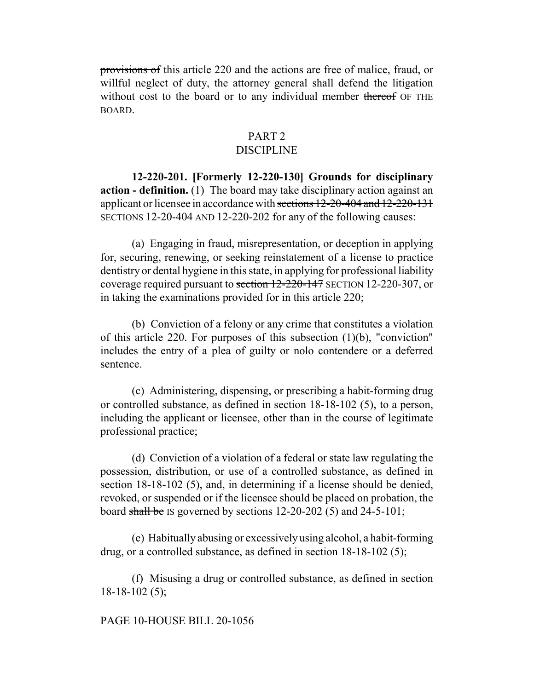provisions of this article 220 and the actions are free of malice, fraud, or willful neglect of duty, the attorney general shall defend the litigation without cost to the board or to any individual member thereof OF THE BOARD.

# PART 2

# DISCIPLINE

**12-220-201. [Formerly 12-220-130] Grounds for disciplinary action - definition.** (1) The board may take disciplinary action against an applicant or licensee in accordance with sections 12-20-404 and 12-220-131 SECTIONS 12-20-404 AND 12-220-202 for any of the following causes:

(a) Engaging in fraud, misrepresentation, or deception in applying for, securing, renewing, or seeking reinstatement of a license to practice dentistry or dental hygiene in this state, in applying for professional liability coverage required pursuant to section 12-220-147 SECTION 12-220-307, or in taking the examinations provided for in this article 220;

(b) Conviction of a felony or any crime that constitutes a violation of this article 220. For purposes of this subsection (1)(b), "conviction" includes the entry of a plea of guilty or nolo contendere or a deferred sentence.

(c) Administering, dispensing, or prescribing a habit-forming drug or controlled substance, as defined in section 18-18-102 (5), to a person, including the applicant or licensee, other than in the course of legitimate professional practice;

(d) Conviction of a violation of a federal or state law regulating the possession, distribution, or use of a controlled substance, as defined in section 18-18-102 (5), and, in determining if a license should be denied, revoked, or suspended or if the licensee should be placed on probation, the board shall be IS governed by sections  $12-20-202$  (5) and  $24-5-101$ ;

(e) Habitually abusing or excessively using alcohol, a habit-forming drug, or a controlled substance, as defined in section 18-18-102 (5);

(f) Misusing a drug or controlled substance, as defined in section 18-18-102 (5);

#### PAGE 10-HOUSE BILL 20-1056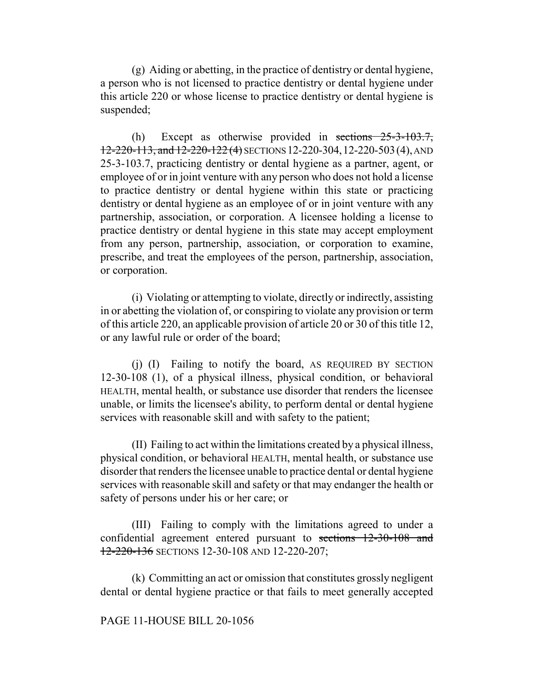(g) Aiding or abetting, in the practice of dentistry or dental hygiene, a person who is not licensed to practice dentistry or dental hygiene under this article 220 or whose license to practice dentistry or dental hygiene is suspended;

(h) Except as otherwise provided in sections 25-3-103.7, 12-220-113, and 12-220-122 (4) SECTIONS 12-220-304,12-220-503(4), AND 25-3-103.7, practicing dentistry or dental hygiene as a partner, agent, or employee of or in joint venture with any person who does not hold a license to practice dentistry or dental hygiene within this state or practicing dentistry or dental hygiene as an employee of or in joint venture with any partnership, association, or corporation. A licensee holding a license to practice dentistry or dental hygiene in this state may accept employment from any person, partnership, association, or corporation to examine, prescribe, and treat the employees of the person, partnership, association, or corporation.

(i) Violating or attempting to violate, directly or indirectly, assisting in or abetting the violation of, or conspiring to violate any provision or term of this article 220, an applicable provision of article 20 or 30 of this title 12, or any lawful rule or order of the board;

(j) (I) Failing to notify the board, AS REQUIRED BY SECTION 12-30-108 (1), of a physical illness, physical condition, or behavioral HEALTH, mental health, or substance use disorder that renders the licensee unable, or limits the licensee's ability, to perform dental or dental hygiene services with reasonable skill and with safety to the patient;

(II) Failing to act within the limitations created by a physical illness, physical condition, or behavioral HEALTH, mental health, or substance use disorder that renders the licensee unable to practice dental or dental hygiene services with reasonable skill and safety or that may endanger the health or safety of persons under his or her care; or

(III) Failing to comply with the limitations agreed to under a confidential agreement entered pursuant to sections 12-30-108 and 12-220-136 SECTIONS 12-30-108 AND 12-220-207;

(k) Committing an act or omission that constitutes grossly negligent dental or dental hygiene practice or that fails to meet generally accepted

#### PAGE 11-HOUSE BILL 20-1056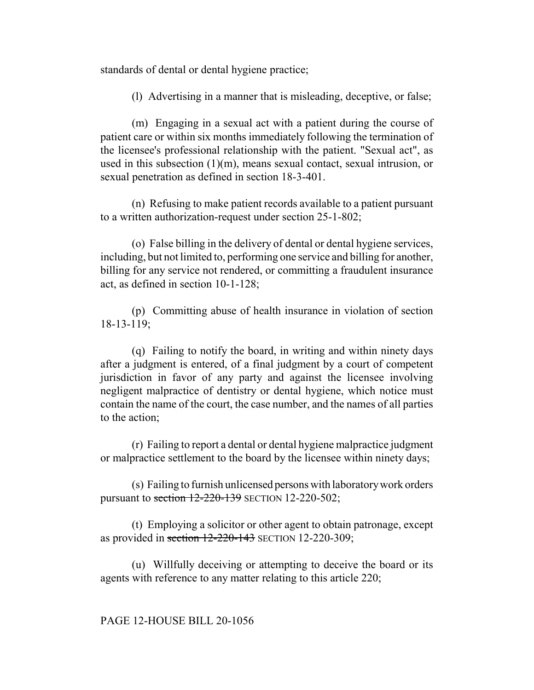standards of dental or dental hygiene practice;

(l) Advertising in a manner that is misleading, deceptive, or false;

(m) Engaging in a sexual act with a patient during the course of patient care or within six months immediately following the termination of the licensee's professional relationship with the patient. "Sexual act", as used in this subsection (1)(m), means sexual contact, sexual intrusion, or sexual penetration as defined in section 18-3-401.

(n) Refusing to make patient records available to a patient pursuant to a written authorization-request under section 25-1-802;

(o) False billing in the delivery of dental or dental hygiene services, including, but not limited to, performing one service and billing for another, billing for any service not rendered, or committing a fraudulent insurance act, as defined in section 10-1-128;

(p) Committing abuse of health insurance in violation of section 18-13-119;

(q) Failing to notify the board, in writing and within ninety days after a judgment is entered, of a final judgment by a court of competent jurisdiction in favor of any party and against the licensee involving negligent malpractice of dentistry or dental hygiene, which notice must contain the name of the court, the case number, and the names of all parties to the action;

(r) Failing to report a dental or dental hygiene malpractice judgment or malpractice settlement to the board by the licensee within ninety days;

(s) Failing to furnish unlicensed persons with laboratory work orders pursuant to section  $12-220-139$  SECTION 12-220-502;

(t) Employing a solicitor or other agent to obtain patronage, except as provided in section  $12-220-143$  SECTION 12-220-309;

(u) Willfully deceiving or attempting to deceive the board or its agents with reference to any matter relating to this article 220;

#### PAGE 12-HOUSE BILL 20-1056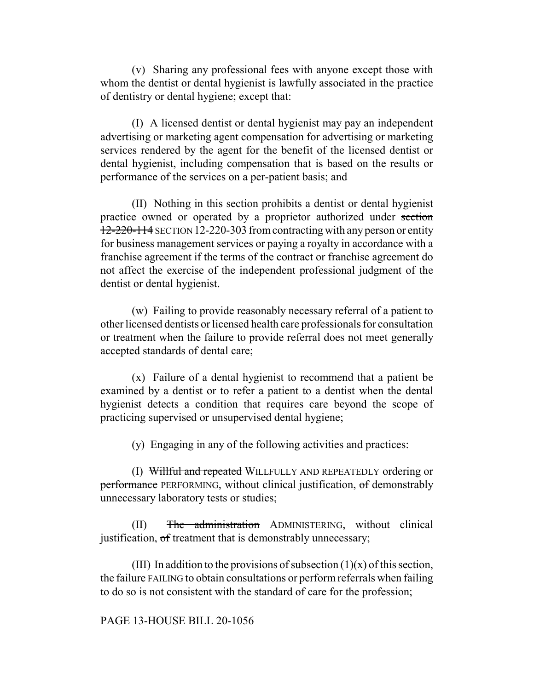(v) Sharing any professional fees with anyone except those with whom the dentist or dental hygienist is lawfully associated in the practice of dentistry or dental hygiene; except that:

(I) A licensed dentist or dental hygienist may pay an independent advertising or marketing agent compensation for advertising or marketing services rendered by the agent for the benefit of the licensed dentist or dental hygienist, including compensation that is based on the results or performance of the services on a per-patient basis; and

(II) Nothing in this section prohibits a dentist or dental hygienist practice owned or operated by a proprietor authorized under section 12-220-114 SECTION 12-220-303 from contracting with any person or entity for business management services or paying a royalty in accordance with a franchise agreement if the terms of the contract or franchise agreement do not affect the exercise of the independent professional judgment of the dentist or dental hygienist.

(w) Failing to provide reasonably necessary referral of a patient to other licensed dentists or licensed health care professionals for consultation or treatment when the failure to provide referral does not meet generally accepted standards of dental care;

(x) Failure of a dental hygienist to recommend that a patient be examined by a dentist or to refer a patient to a dentist when the dental hygienist detects a condition that requires care beyond the scope of practicing supervised or unsupervised dental hygiene;

(y) Engaging in any of the following activities and practices:

(I) Willful and repeated WILLFULLY AND REPEATEDLY ordering or performance PERFORMING, without clinical justification, of demonstrably unnecessary laboratory tests or studies;

(II) The administration ADMINISTERING, without clinical justification, of treatment that is demonstrably unnecessary;

(III) In addition to the provisions of subsection  $(1)(x)$  of this section, the failure FAILING to obtain consultations or perform referrals when failing to do so is not consistent with the standard of care for the profession;

PAGE 13-HOUSE BILL 20-1056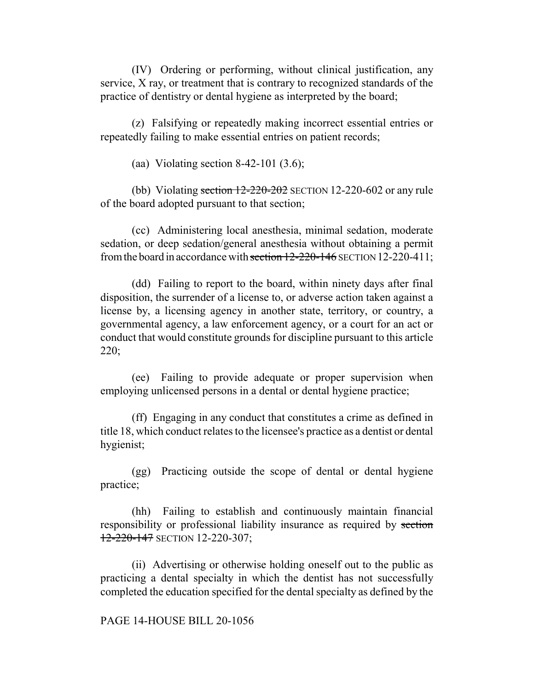(IV) Ordering or performing, without clinical justification, any service, X ray, or treatment that is contrary to recognized standards of the practice of dentistry or dental hygiene as interpreted by the board;

(z) Falsifying or repeatedly making incorrect essential entries or repeatedly failing to make essential entries on patient records;

(aa) Violating section 8-42-101 (3.6);

(bb) Violating section  $12-220-202$  SECTION 12-220-602 or any rule of the board adopted pursuant to that section;

(cc) Administering local anesthesia, minimal sedation, moderate sedation, or deep sedation/general anesthesia without obtaining a permit from the board in accordance with section 12-220-146 SECTION 12-220-411;

(dd) Failing to report to the board, within ninety days after final disposition, the surrender of a license to, or adverse action taken against a license by, a licensing agency in another state, territory, or country, a governmental agency, a law enforcement agency, or a court for an act or conduct that would constitute grounds for discipline pursuant to this article 220;

(ee) Failing to provide adequate or proper supervision when employing unlicensed persons in a dental or dental hygiene practice;

(ff) Engaging in any conduct that constitutes a crime as defined in title 18, which conduct relates to the licensee's practice as a dentist or dental hygienist;

(gg) Practicing outside the scope of dental or dental hygiene practice;

(hh) Failing to establish and continuously maintain financial responsibility or professional liability insurance as required by section 12-220-147 SECTION 12-220-307;

(ii) Advertising or otherwise holding oneself out to the public as practicing a dental specialty in which the dentist has not successfully completed the education specified for the dental specialty as defined by the

#### PAGE 14-HOUSE BILL 20-1056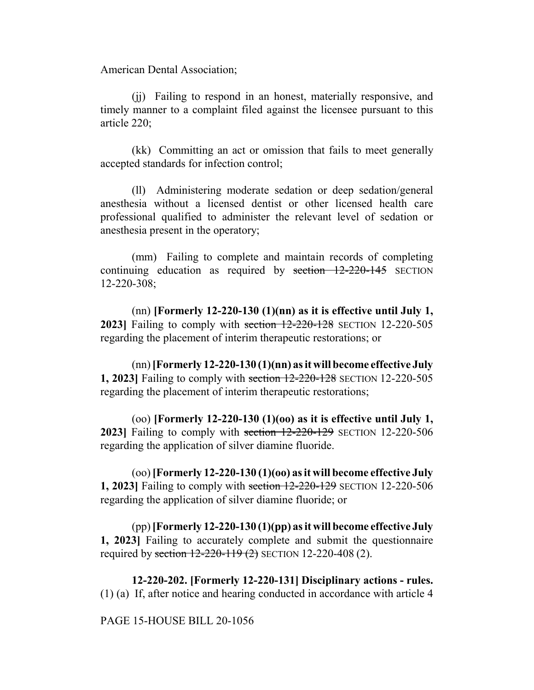American Dental Association;

(jj) Failing to respond in an honest, materially responsive, and timely manner to a complaint filed against the licensee pursuant to this article 220;

(kk) Committing an act or omission that fails to meet generally accepted standards for infection control;

(ll) Administering moderate sedation or deep sedation/general anesthesia without a licensed dentist or other licensed health care professional qualified to administer the relevant level of sedation or anesthesia present in the operatory;

(mm) Failing to complete and maintain records of completing continuing education as required by section 12-220-145 SECTION 12-220-308;

(nn) **[Formerly 12-220-130 (1)(nn) as it is effective until July 1, 2023**] Failing to comply with section 12-220-128 SECTION 12-220-505 regarding the placement of interim therapeutic restorations; or

(nn) **[Formerly 12-220-130 (1)(nn) as it will become effective July 1, 2023]** Failing to comply with section 12-220-128 SECTION 12-220-505 regarding the placement of interim therapeutic restorations;

(oo) **[Formerly 12-220-130 (1)(oo) as it is effective until July 1, 2023]** Failing to comply with section 12-220-129 SECTION 12-220-506 regarding the application of silver diamine fluoride.

(oo) **[Formerly 12-220-130 (1)(oo) as it will become effective July 1, 2023]** Failing to comply with section 12-220-129 SECTION 12-220-506 regarding the application of silver diamine fluoride; or

(pp) **[Formerly 12-220-130 (1)(pp) as it will become effective July 1, 2023]** Failing to accurately complete and submit the questionnaire required by section 12-220-119 (2) SECTION 12-220-408 (2).

**12-220-202. [Formerly 12-220-131] Disciplinary actions - rules.** (1) (a) If, after notice and hearing conducted in accordance with article 4

PAGE 15-HOUSE BILL 20-1056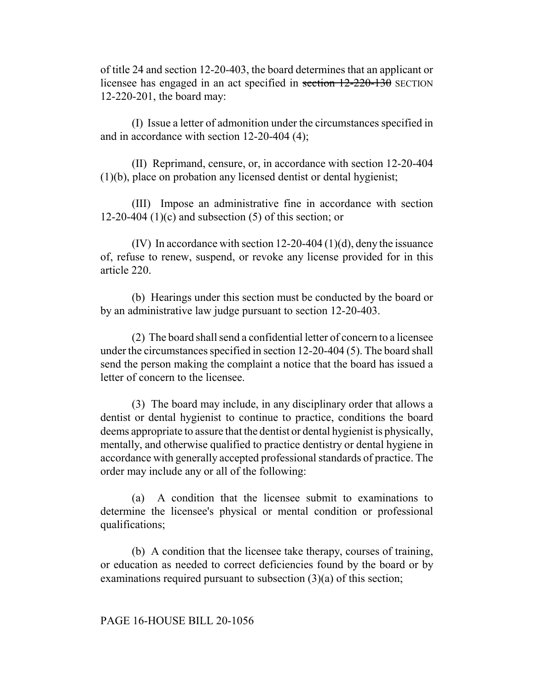of title 24 and section 12-20-403, the board determines that an applicant or licensee has engaged in an act specified in section 12-220-130 SECTION 12-220-201, the board may:

(I) Issue a letter of admonition under the circumstances specified in and in accordance with section 12-20-404 (4);

(II) Reprimand, censure, or, in accordance with section 12-20-404 (1)(b), place on probation any licensed dentist or dental hygienist;

(III) Impose an administrative fine in accordance with section 12-20-404 (1)(c) and subsection  $(5)$  of this section; or

(IV) In accordance with section 12-20-404 (1)(d), deny the issuance of, refuse to renew, suspend, or revoke any license provided for in this article 220.

(b) Hearings under this section must be conducted by the board or by an administrative law judge pursuant to section 12-20-403.

(2) The board shall send a confidential letter of concern to a licensee under the circumstances specified in section 12-20-404 (5). The board shall send the person making the complaint a notice that the board has issued a letter of concern to the licensee.

(3) The board may include, in any disciplinary order that allows a dentist or dental hygienist to continue to practice, conditions the board deems appropriate to assure that the dentist or dental hygienist is physically, mentally, and otherwise qualified to practice dentistry or dental hygiene in accordance with generally accepted professional standards of practice. The order may include any or all of the following:

(a) A condition that the licensee submit to examinations to determine the licensee's physical or mental condition or professional qualifications;

(b) A condition that the licensee take therapy, courses of training, or education as needed to correct deficiencies found by the board or by examinations required pursuant to subsection (3)(a) of this section;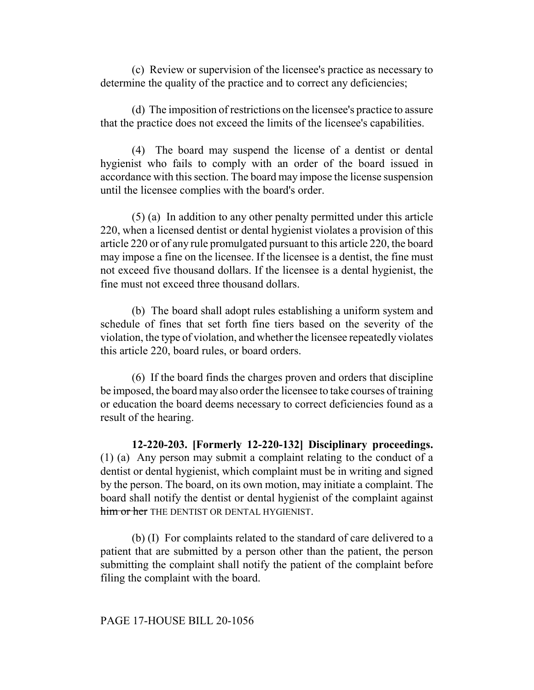(c) Review or supervision of the licensee's practice as necessary to determine the quality of the practice and to correct any deficiencies;

(d) The imposition of restrictions on the licensee's practice to assure that the practice does not exceed the limits of the licensee's capabilities.

(4) The board may suspend the license of a dentist or dental hygienist who fails to comply with an order of the board issued in accordance with this section. The board may impose the license suspension until the licensee complies with the board's order.

(5) (a) In addition to any other penalty permitted under this article 220, when a licensed dentist or dental hygienist violates a provision of this article 220 or of any rule promulgated pursuant to this article 220, the board may impose a fine on the licensee. If the licensee is a dentist, the fine must not exceed five thousand dollars. If the licensee is a dental hygienist, the fine must not exceed three thousand dollars.

(b) The board shall adopt rules establishing a uniform system and schedule of fines that set forth fine tiers based on the severity of the violation, the type of violation, and whether the licensee repeatedly violates this article 220, board rules, or board orders.

(6) If the board finds the charges proven and orders that discipline be imposed, the board may also order the licensee to take courses of training or education the board deems necessary to correct deficiencies found as a result of the hearing.

**12-220-203. [Formerly 12-220-132] Disciplinary proceedings.** (1) (a) Any person may submit a complaint relating to the conduct of a dentist or dental hygienist, which complaint must be in writing and signed by the person. The board, on its own motion, may initiate a complaint. The board shall notify the dentist or dental hygienist of the complaint against him or her THE DENTIST OR DENTAL HYGIENIST.

(b) (I) For complaints related to the standard of care delivered to a patient that are submitted by a person other than the patient, the person submitting the complaint shall notify the patient of the complaint before filing the complaint with the board.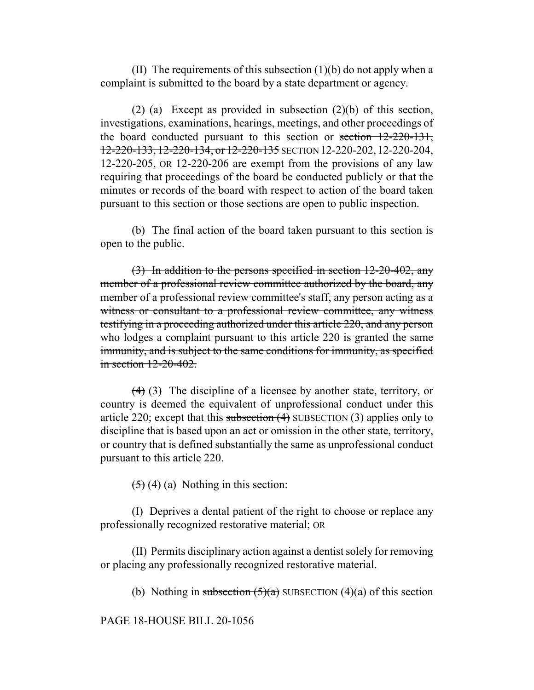(II) The requirements of this subsection  $(1)(b)$  do not apply when a complaint is submitted to the board by a state department or agency.

(2) (a) Except as provided in subsection (2)(b) of this section, investigations, examinations, hearings, meetings, and other proceedings of the board conducted pursuant to this section or section 12-220-131, 12-220-133, 12-220-134, or 12-220-135 SECTION 12-220-202, 12-220-204, 12-220-205, OR 12-220-206 are exempt from the provisions of any law requiring that proceedings of the board be conducted publicly or that the minutes or records of the board with respect to action of the board taken pursuant to this section or those sections are open to public inspection.

(b) The final action of the board taken pursuant to this section is open to the public.

(3) In addition to the persons specified in section 12-20-402, any member of a professional review committee authorized by the board, any member of a professional review committee's staff, any person acting as a witness or consultant to a professional review committee, any witness testifying in a proceeding authorized under this article 220, and any person who lodges a complaint pursuant to this article 220 is granted the same immunity, and is subject to the same conditions for immunity, as specified in section 12-20-402.

(4) (3) The discipline of a licensee by another state, territory, or country is deemed the equivalent of unprofessional conduct under this article 220; except that this subsection  $(4)$  SUBSECTION  $(3)$  applies only to discipline that is based upon an act or omission in the other state, territory, or country that is defined substantially the same as unprofessional conduct pursuant to this article 220.

 $(5)$  (4) (a) Nothing in this section:

(I) Deprives a dental patient of the right to choose or replace any professionally recognized restorative material; OR

(II) Permits disciplinary action against a dentist solely for removing or placing any professionally recognized restorative material.

(b) Nothing in subsection  $(5)(a)$  SUBSECTION  $(4)(a)$  of this section

PAGE 18-HOUSE BILL 20-1056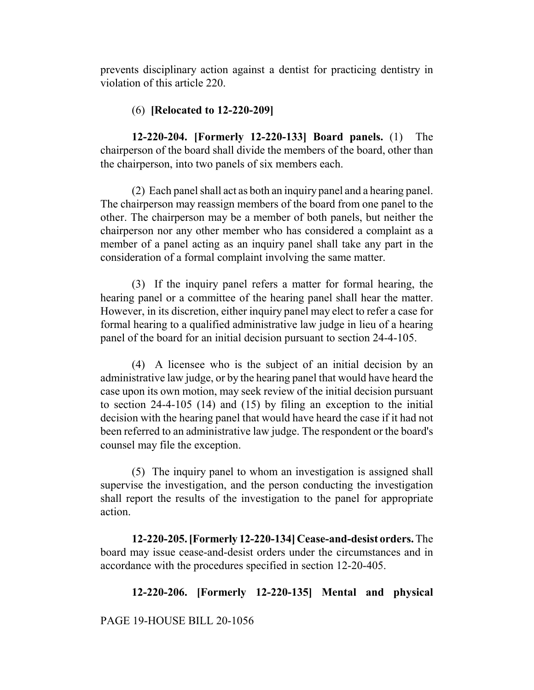prevents disciplinary action against a dentist for practicing dentistry in violation of this article 220.

## (6) **[Relocated to 12-220-209]**

**12-220-204. [Formerly 12-220-133] Board panels.** (1) The chairperson of the board shall divide the members of the board, other than the chairperson, into two panels of six members each.

(2) Each panel shall act as both an inquiry panel and a hearing panel. The chairperson may reassign members of the board from one panel to the other. The chairperson may be a member of both panels, but neither the chairperson nor any other member who has considered a complaint as a member of a panel acting as an inquiry panel shall take any part in the consideration of a formal complaint involving the same matter.

(3) If the inquiry panel refers a matter for formal hearing, the hearing panel or a committee of the hearing panel shall hear the matter. However, in its discretion, either inquiry panel may elect to refer a case for formal hearing to a qualified administrative law judge in lieu of a hearing panel of the board for an initial decision pursuant to section 24-4-105.

(4) A licensee who is the subject of an initial decision by an administrative law judge, or by the hearing panel that would have heard the case upon its own motion, may seek review of the initial decision pursuant to section 24-4-105 (14) and (15) by filing an exception to the initial decision with the hearing panel that would have heard the case if it had not been referred to an administrative law judge. The respondent or the board's counsel may file the exception.

(5) The inquiry panel to whom an investigation is assigned shall supervise the investigation, and the person conducting the investigation shall report the results of the investigation to the panel for appropriate action.

**12-220-205. [Formerly 12-220-134] Cease-and-desist orders.** The board may issue cease-and-desist orders under the circumstances and in accordance with the procedures specified in section 12-20-405.

# **12-220-206. [Formerly 12-220-135] Mental and physical**

PAGE 19-HOUSE BILL 20-1056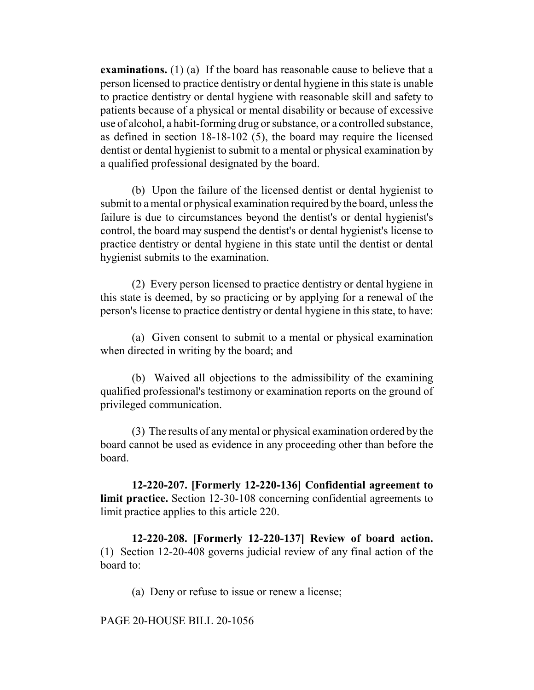**examinations.** (1) (a) If the board has reasonable cause to believe that a person licensed to practice dentistry or dental hygiene in this state is unable to practice dentistry or dental hygiene with reasonable skill and safety to patients because of a physical or mental disability or because of excessive use of alcohol, a habit-forming drug or substance, or a controlled substance, as defined in section 18-18-102 (5), the board may require the licensed dentist or dental hygienist to submit to a mental or physical examination by a qualified professional designated by the board.

(b) Upon the failure of the licensed dentist or dental hygienist to submit to a mental or physical examination required by the board, unless the failure is due to circumstances beyond the dentist's or dental hygienist's control, the board may suspend the dentist's or dental hygienist's license to practice dentistry or dental hygiene in this state until the dentist or dental hygienist submits to the examination.

(2) Every person licensed to practice dentistry or dental hygiene in this state is deemed, by so practicing or by applying for a renewal of the person's license to practice dentistry or dental hygiene in this state, to have:

(a) Given consent to submit to a mental or physical examination when directed in writing by the board; and

(b) Waived all objections to the admissibility of the examining qualified professional's testimony or examination reports on the ground of privileged communication.

(3) The results of any mental or physical examination ordered by the board cannot be used as evidence in any proceeding other than before the board.

**12-220-207. [Formerly 12-220-136] Confidential agreement to limit practice.** Section 12-30-108 concerning confidential agreements to limit practice applies to this article 220.

**12-220-208. [Formerly 12-220-137] Review of board action.** (1) Section 12-20-408 governs judicial review of any final action of the board to:

(a) Deny or refuse to issue or renew a license;

PAGE 20-HOUSE BILL 20-1056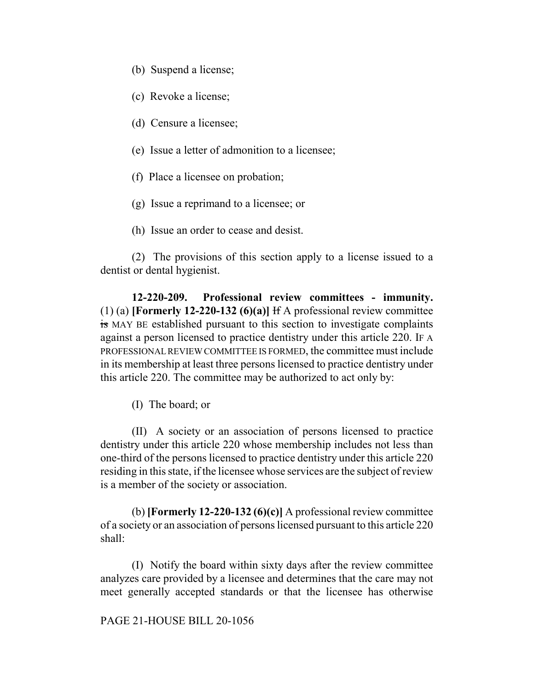- (b) Suspend a license;
- (c) Revoke a license;
- (d) Censure a licensee;
- (e) Issue a letter of admonition to a licensee;
- (f) Place a licensee on probation;
- (g) Issue a reprimand to a licensee; or
- (h) Issue an order to cease and desist.

(2) The provisions of this section apply to a license issued to a dentist or dental hygienist.

**12-220-209. Professional review committees - immunity.** (1) (a) **[Formerly 12-220-132 (6)(a)]** If A professional review committee is MAY BE established pursuant to this section to investigate complaints against a person licensed to practice dentistry under this article 220. IF A PROFESSIONAL REVIEW COMMITTEE IS FORMED, the committee must include in its membership at least three persons licensed to practice dentistry under this article 220. The committee may be authorized to act only by:

(I) The board; or

(II) A society or an association of persons licensed to practice dentistry under this article 220 whose membership includes not less than one-third of the persons licensed to practice dentistry under this article 220 residing in this state, if the licensee whose services are the subject of review is a member of the society or association.

(b) **[Formerly 12-220-132 (6)(c)]** A professional review committee of a society or an association of persons licensed pursuant to this article 220 shall:

(I) Notify the board within sixty days after the review committee analyzes care provided by a licensee and determines that the care may not meet generally accepted standards or that the licensee has otherwise

#### PAGE 21-HOUSE BILL 20-1056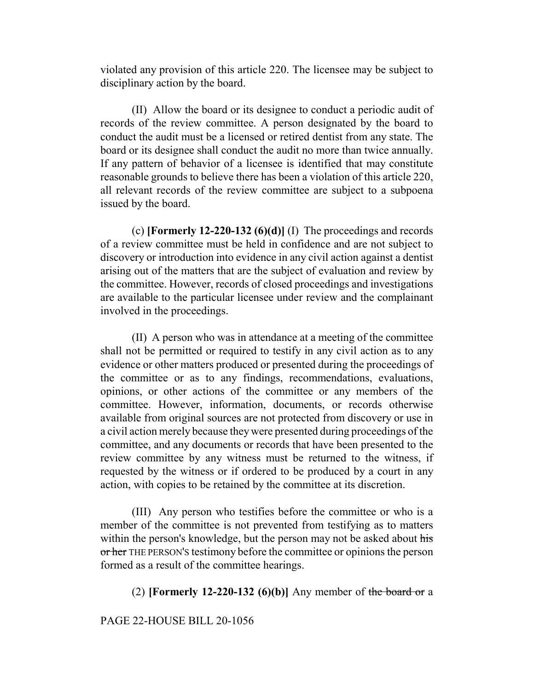violated any provision of this article 220. The licensee may be subject to disciplinary action by the board.

(II) Allow the board or its designee to conduct a periodic audit of records of the review committee. A person designated by the board to conduct the audit must be a licensed or retired dentist from any state. The board or its designee shall conduct the audit no more than twice annually. If any pattern of behavior of a licensee is identified that may constitute reasonable grounds to believe there has been a violation of this article 220, all relevant records of the review committee are subject to a subpoena issued by the board.

(c) **[Formerly 12-220-132 (6)(d)]** (I) The proceedings and records of a review committee must be held in confidence and are not subject to discovery or introduction into evidence in any civil action against a dentist arising out of the matters that are the subject of evaluation and review by the committee. However, records of closed proceedings and investigations are available to the particular licensee under review and the complainant involved in the proceedings.

(II) A person who was in attendance at a meeting of the committee shall not be permitted or required to testify in any civil action as to any evidence or other matters produced or presented during the proceedings of the committee or as to any findings, recommendations, evaluations, opinions, or other actions of the committee or any members of the committee. However, information, documents, or records otherwise available from original sources are not protected from discovery or use in a civil action merely because they were presented during proceedings of the committee, and any documents or records that have been presented to the review committee by any witness must be returned to the witness, if requested by the witness or if ordered to be produced by a court in any action, with copies to be retained by the committee at its discretion.

(III) Any person who testifies before the committee or who is a member of the committee is not prevented from testifying as to matters within the person's knowledge, but the person may not be asked about his or her THE PERSON'S testimony before the committee or opinions the person formed as a result of the committee hearings.

(2) **[Formerly 12-220-132 (6)(b)]** Any member of the board or a

PAGE 22-HOUSE BILL 20-1056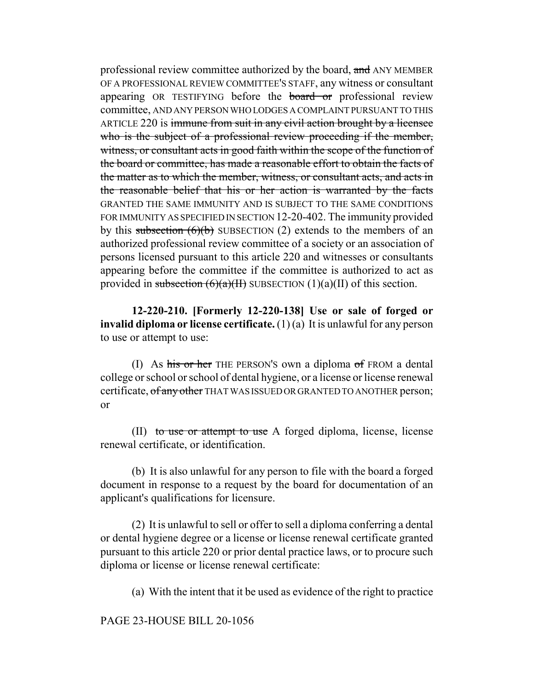professional review committee authorized by the board, and ANY MEMBER OF A PROFESSIONAL REVIEW COMMITTEE'S STAFF, any witness or consultant appearing OR TESTIFYING before the **board or** professional review committee, AND ANY PERSON WHO LODGES A COMPLAINT PURSUANT TO THIS ARTICLE 220 is immune from suit in any civil action brought by a licensee who is the subject of a professional review proceeding if the member, witness, or consultant acts in good faith within the scope of the function of the board or committee, has made a reasonable effort to obtain the facts of the matter as to which the member, witness, or consultant acts, and acts in the reasonable belief that his or her action is warranted by the facts GRANTED THE SAME IMMUNITY AND IS SUBJECT TO THE SAME CONDITIONS FOR IMMUNITY AS SPECIFIED IN SECTION 12-20-402. The immunity provided by this subsection  $(6)(b)$  SUBSECTION (2) extends to the members of an authorized professional review committee of a society or an association of persons licensed pursuant to this article 220 and witnesses or consultants appearing before the committee if the committee is authorized to act as provided in subsection  $(6)(a)(H)$  SUBSECTION  $(1)(a)(H)$  of this section.

**12-220-210. [Formerly 12-220-138] Use or sale of forged or invalid diploma or license certificate.** (1) (a) It is unlawful for any person to use or attempt to use:

(I) As his or her THE PERSON'S own a diploma of FROM a dental college or school or school of dental hygiene, or a license or license renewal certificate, of any other THAT WAS ISSUED OR GRANTED TO ANOTHER person; or

(II) to use or attempt to use A forged diploma, license, license renewal certificate, or identification.

(b) It is also unlawful for any person to file with the board a forged document in response to a request by the board for documentation of an applicant's qualifications for licensure.

(2) It is unlawful to sell or offer to sell a diploma conferring a dental or dental hygiene degree or a license or license renewal certificate granted pursuant to this article 220 or prior dental practice laws, or to procure such diploma or license or license renewal certificate:

(a) With the intent that it be used as evidence of the right to practice

PAGE 23-HOUSE BILL 20-1056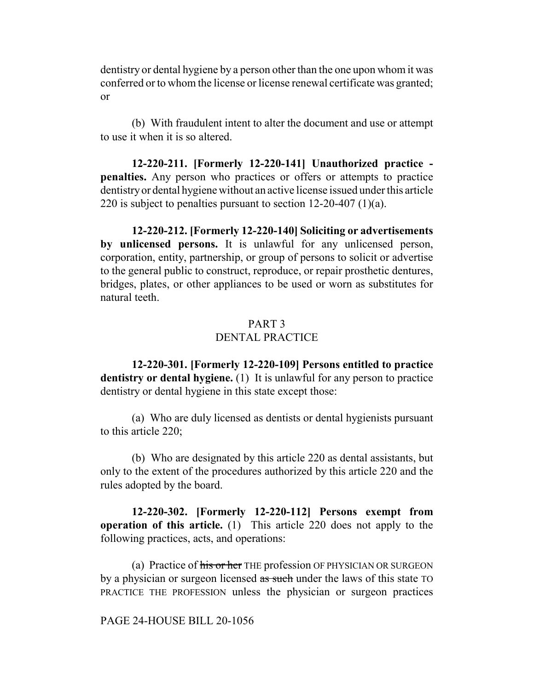dentistry or dental hygiene by a person other than the one upon whom it was conferred or to whom the license or license renewal certificate was granted; or

(b) With fraudulent intent to alter the document and use or attempt to use it when it is so altered.

**12-220-211. [Formerly 12-220-141] Unauthorized practice penalties.** Any person who practices or offers or attempts to practice dentistry or dental hygiene without an active license issued under this article 220 is subject to penalties pursuant to section 12-20-407 (1)(a).

**12-220-212. [Formerly 12-220-140] Soliciting or advertisements by unlicensed persons.** It is unlawful for any unlicensed person, corporation, entity, partnership, or group of persons to solicit or advertise to the general public to construct, reproduce, or repair prosthetic dentures, bridges, plates, or other appliances to be used or worn as substitutes for natural teeth.

### PART 3 DENTAL PRACTICE

**12-220-301. [Formerly 12-220-109] Persons entitled to practice dentistry or dental hygiene.** (1) It is unlawful for any person to practice dentistry or dental hygiene in this state except those:

(a) Who are duly licensed as dentists or dental hygienists pursuant to this article 220;

(b) Who are designated by this article 220 as dental assistants, but only to the extent of the procedures authorized by this article 220 and the rules adopted by the board.

**12-220-302. [Formerly 12-220-112] Persons exempt from operation of this article.** (1) This article 220 does not apply to the following practices, acts, and operations:

(a) Practice of his or her THE profession OF PHYSICIAN OR SURGEON by a physician or surgeon licensed as such under the laws of this state TO PRACTICE THE PROFESSION unless the physician or surgeon practices

PAGE 24-HOUSE BILL 20-1056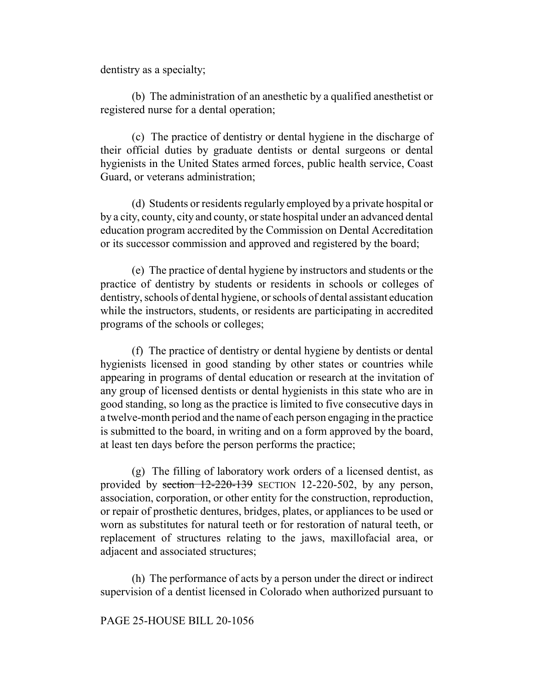dentistry as a specialty;

(b) The administration of an anesthetic by a qualified anesthetist or registered nurse for a dental operation;

(c) The practice of dentistry or dental hygiene in the discharge of their official duties by graduate dentists or dental surgeons or dental hygienists in the United States armed forces, public health service, Coast Guard, or veterans administration;

(d) Students or residents regularly employed by a private hospital or by a city, county, city and county, or state hospital under an advanced dental education program accredited by the Commission on Dental Accreditation or its successor commission and approved and registered by the board;

(e) The practice of dental hygiene by instructors and students or the practice of dentistry by students or residents in schools or colleges of dentistry, schools of dental hygiene, or schools of dental assistant education while the instructors, students, or residents are participating in accredited programs of the schools or colleges;

(f) The practice of dentistry or dental hygiene by dentists or dental hygienists licensed in good standing by other states or countries while appearing in programs of dental education or research at the invitation of any group of licensed dentists or dental hygienists in this state who are in good standing, so long as the practice is limited to five consecutive days in a twelve-month period and the name of each person engaging in the practice is submitted to the board, in writing and on a form approved by the board, at least ten days before the person performs the practice;

(g) The filling of laboratory work orders of a licensed dentist, as provided by section 12-220-139 SECTION 12-220-502, by any person, association, corporation, or other entity for the construction, reproduction, or repair of prosthetic dentures, bridges, plates, or appliances to be used or worn as substitutes for natural teeth or for restoration of natural teeth, or replacement of structures relating to the jaws, maxillofacial area, or adjacent and associated structures;

(h) The performance of acts by a person under the direct or indirect supervision of a dentist licensed in Colorado when authorized pursuant to

#### PAGE 25-HOUSE BILL 20-1056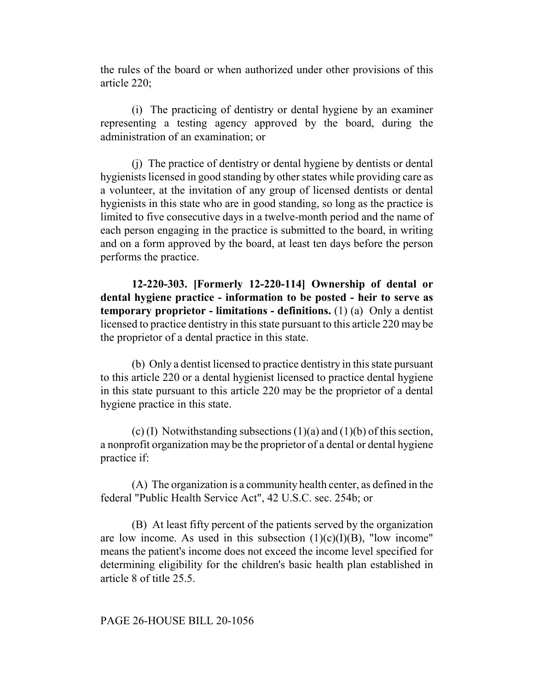the rules of the board or when authorized under other provisions of this article 220;

(i) The practicing of dentistry or dental hygiene by an examiner representing a testing agency approved by the board, during the administration of an examination; or

(j) The practice of dentistry or dental hygiene by dentists or dental hygienists licensed in good standing by other states while providing care as a volunteer, at the invitation of any group of licensed dentists or dental hygienists in this state who are in good standing, so long as the practice is limited to five consecutive days in a twelve-month period and the name of each person engaging in the practice is submitted to the board, in writing and on a form approved by the board, at least ten days before the person performs the practice.

**12-220-303. [Formerly 12-220-114] Ownership of dental or dental hygiene practice - information to be posted - heir to serve as temporary proprietor - limitations - definitions.** (1) (a) Only a dentist licensed to practice dentistry in this state pursuant to this article 220 may be the proprietor of a dental practice in this state.

(b) Only a dentist licensed to practice dentistry in this state pursuant to this article 220 or a dental hygienist licensed to practice dental hygiene in this state pursuant to this article 220 may be the proprietor of a dental hygiene practice in this state.

(c) (I) Notwithstanding subsections  $(1)(a)$  and  $(1)(b)$  of this section, a nonprofit organization may be the proprietor of a dental or dental hygiene practice if:

(A) The organization is a community health center, as defined in the federal "Public Health Service Act", 42 U.S.C. sec. 254b; or

(B) At least fifty percent of the patients served by the organization are low income. As used in this subsection  $(1)(c)(I)(B)$ , "low income" means the patient's income does not exceed the income level specified for determining eligibility for the children's basic health plan established in article 8 of title 25.5.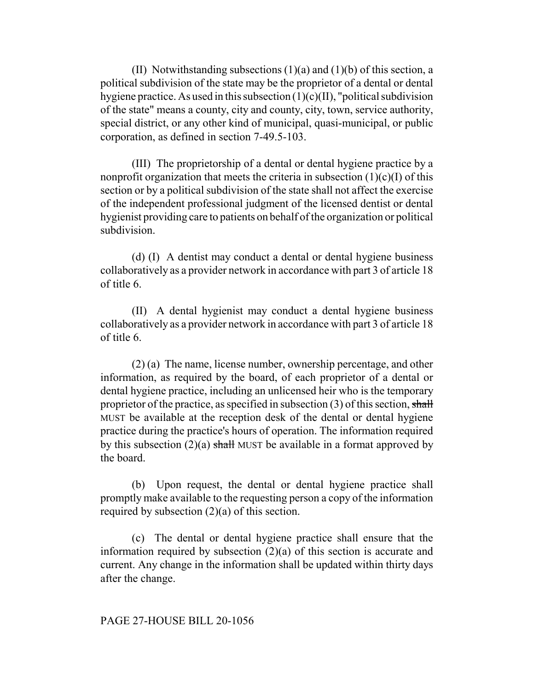(II) Notwithstanding subsections  $(1)(a)$  and  $(1)(b)$  of this section, a political subdivision of the state may be the proprietor of a dental or dental hygiene practice. As used in this subsection  $(1)(c)(II)$ , "political subdivision of the state" means a county, city and county, city, town, service authority, special district, or any other kind of municipal, quasi-municipal, or public corporation, as defined in section 7-49.5-103.

(III) The proprietorship of a dental or dental hygiene practice by a nonprofit organization that meets the criteria in subsection  $(1)(c)(I)$  of this section or by a political subdivision of the state shall not affect the exercise of the independent professional judgment of the licensed dentist or dental hygienist providing care to patients on behalf of the organization or political subdivision.

(d) (I) A dentist may conduct a dental or dental hygiene business collaboratively as a provider network in accordance with part 3 of article 18 of title 6.

(II) A dental hygienist may conduct a dental hygiene business collaboratively as a provider network in accordance with part 3 of article 18 of title 6.

(2) (a) The name, license number, ownership percentage, and other information, as required by the board, of each proprietor of a dental or dental hygiene practice, including an unlicensed heir who is the temporary proprietor of the practice, as specified in subsection  $(3)$  of this section, shall MUST be available at the reception desk of the dental or dental hygiene practice during the practice's hours of operation. The information required by this subsection  $(2)(a)$  shall MUST be available in a format approved by the board.

(b) Upon request, the dental or dental hygiene practice shall promptly make available to the requesting person a copy of the information required by subsection (2)(a) of this section.

(c) The dental or dental hygiene practice shall ensure that the information required by subsection (2)(a) of this section is accurate and current. Any change in the information shall be updated within thirty days after the change.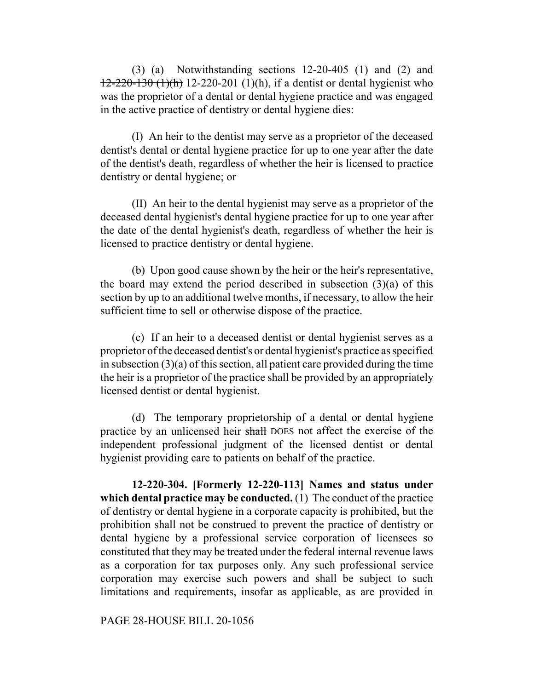(3) (a) Notwithstanding sections 12-20-405 (1) and (2) and  $12-220-130$  (1)(h) 12-220-201 (1)(h), if a dentist or dental hygienist who was the proprietor of a dental or dental hygiene practice and was engaged in the active practice of dentistry or dental hygiene dies:

(I) An heir to the dentist may serve as a proprietor of the deceased dentist's dental or dental hygiene practice for up to one year after the date of the dentist's death, regardless of whether the heir is licensed to practice dentistry or dental hygiene; or

(II) An heir to the dental hygienist may serve as a proprietor of the deceased dental hygienist's dental hygiene practice for up to one year after the date of the dental hygienist's death, regardless of whether the heir is licensed to practice dentistry or dental hygiene.

(b) Upon good cause shown by the heir or the heir's representative, the board may extend the period described in subsection  $(3)(a)$  of this section by up to an additional twelve months, if necessary, to allow the heir sufficient time to sell or otherwise dispose of the practice.

(c) If an heir to a deceased dentist or dental hygienist serves as a proprietor of the deceased dentist's or dental hygienist's practice as specified in subsection  $(3)(a)$  of this section, all patient care provided during the time the heir is a proprietor of the practice shall be provided by an appropriately licensed dentist or dental hygienist.

(d) The temporary proprietorship of a dental or dental hygiene practice by an unlicensed heir shall DOES not affect the exercise of the independent professional judgment of the licensed dentist or dental hygienist providing care to patients on behalf of the practice.

**12-220-304. [Formerly 12-220-113] Names and status under which dental practice may be conducted.** (1) The conduct of the practice of dentistry or dental hygiene in a corporate capacity is prohibited, but the prohibition shall not be construed to prevent the practice of dentistry or dental hygiene by a professional service corporation of licensees so constituted that they may be treated under the federal internal revenue laws as a corporation for tax purposes only. Any such professional service corporation may exercise such powers and shall be subject to such limitations and requirements, insofar as applicable, as are provided in

PAGE 28-HOUSE BILL 20-1056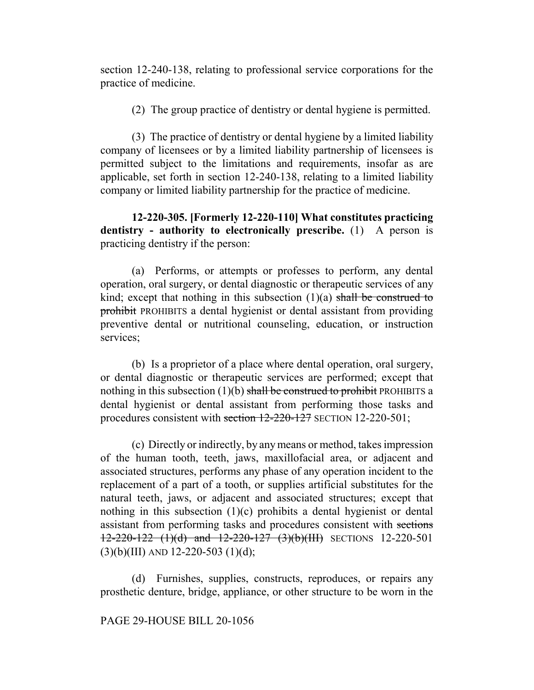section 12-240-138, relating to professional service corporations for the practice of medicine.

(2) The group practice of dentistry or dental hygiene is permitted.

(3) The practice of dentistry or dental hygiene by a limited liability company of licensees or by a limited liability partnership of licensees is permitted subject to the limitations and requirements, insofar as are applicable, set forth in section 12-240-138, relating to a limited liability company or limited liability partnership for the practice of medicine.

**12-220-305. [Formerly 12-220-110] What constitutes practicing dentistry - authority to electronically prescribe.** (1) A person is practicing dentistry if the person:

(a) Performs, or attempts or professes to perform, any dental operation, oral surgery, or dental diagnostic or therapeutic services of any kind; except that nothing in this subsection  $(1)(a)$  shall be construed to prohibit PROHIBITS a dental hygienist or dental assistant from providing preventive dental or nutritional counseling, education, or instruction services;

(b) Is a proprietor of a place where dental operation, oral surgery, or dental diagnostic or therapeutic services are performed; except that nothing in this subsection  $(1)(b)$  shall be construed to prohibit PROHIBITS a dental hygienist or dental assistant from performing those tasks and procedures consistent with section 12-220-127 SECTION 12-220-501;

(c) Directly or indirectly, by any means or method, takes impression of the human tooth, teeth, jaws, maxillofacial area, or adjacent and associated structures, performs any phase of any operation incident to the replacement of a part of a tooth, or supplies artificial substitutes for the natural teeth, jaws, or adjacent and associated structures; except that nothing in this subsection  $(1)(c)$  prohibits a dental hygienist or dental assistant from performing tasks and procedures consistent with sections 12-220-122 (1)(d) and 12-220-127 (3)(b)(III) SECTIONS 12-220-501  $(3)(b)(III)$  AND 12-220-503  $(1)(d)$ ;

(d) Furnishes, supplies, constructs, reproduces, or repairs any prosthetic denture, bridge, appliance, or other structure to be worn in the

## PAGE 29-HOUSE BILL 20-1056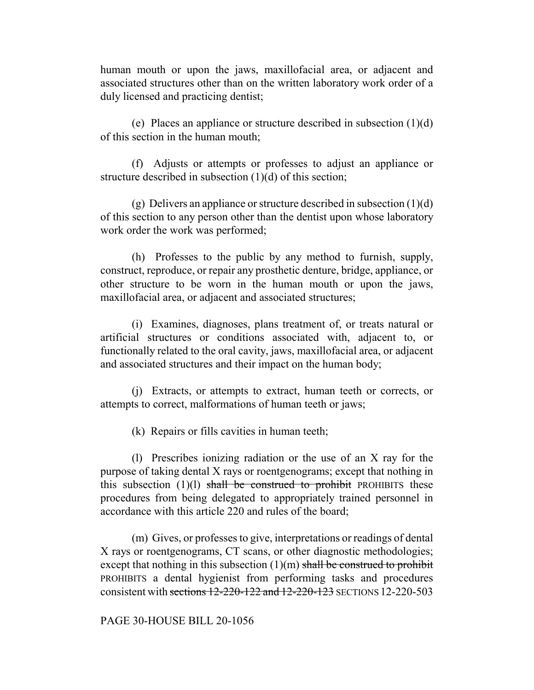human mouth or upon the jaws, maxillofacial area, or adjacent and associated structures other than on the written laboratory work order of a duly licensed and practicing dentist;

(e) Places an appliance or structure described in subsection (1)(d) of this section in the human mouth;

(f) Adjusts or attempts or professes to adjust an appliance or structure described in subsection (1)(d) of this section;

(g) Delivers an appliance or structure described in subsection  $(1)(d)$ of this section to any person other than the dentist upon whose laboratory work order the work was performed;

(h) Professes to the public by any method to furnish, supply, construct, reproduce, or repair any prosthetic denture, bridge, appliance, or other structure to be worn in the human mouth or upon the jaws, maxillofacial area, or adjacent and associated structures;

(i) Examines, diagnoses, plans treatment of, or treats natural or artificial structures or conditions associated with, adjacent to, or functionally related to the oral cavity, jaws, maxillofacial area, or adjacent and associated structures and their impact on the human body;

(j) Extracts, or attempts to extract, human teeth or corrects, or attempts to correct, malformations of human teeth or jaws;

(k) Repairs or fills cavities in human teeth;

(l) Prescribes ionizing radiation or the use of an X ray for the purpose of taking dental X rays or roentgenograms; except that nothing in this subsection  $(1)(1)$  shall be construed to prohibit PROHIBITS these procedures from being delegated to appropriately trained personnel in accordance with this article 220 and rules of the board;

(m) Gives, or professes to give, interpretations or readings of dental X rays or roentgenograms, CT scans, or other diagnostic methodologies; except that nothing in this subsection  $(1)(m)$  shall be construed to prohibit PROHIBITS a dental hygienist from performing tasks and procedures consistent with sections 12-220-122 and 12-220-123 SECTIONS 12-220-503

PAGE 30-HOUSE BILL 20-1056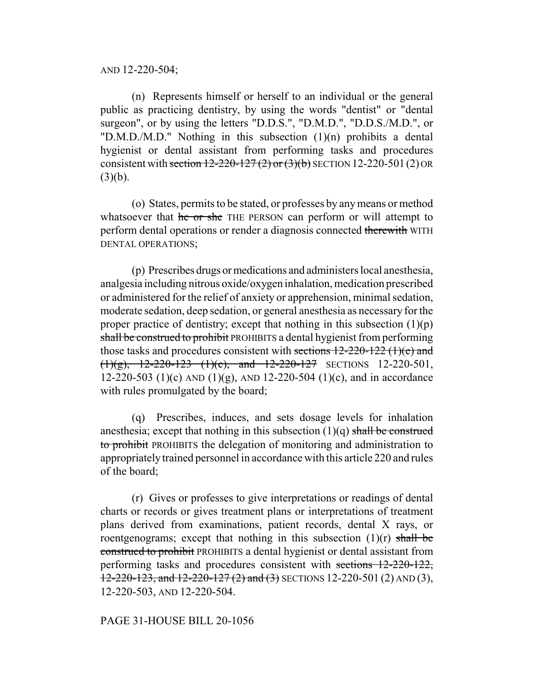AND 12-220-504;

(n) Represents himself or herself to an individual or the general public as practicing dentistry, by using the words "dentist" or "dental surgeon", or by using the letters "D.D.S.", "D.M.D.", "D.D.S./M.D.", or "D.M.D./M.D." Nothing in this subsection (1)(n) prohibits a dental hygienist or dental assistant from performing tasks and procedures consistent with section  $12-220-127(2)$  or  $(3)(b)$  SECTION 12-220-501(2) OR  $(3)(b)$ .

(o) States, permits to be stated, or professes by any means or method whatsoever that he or she THE PERSON can perform or will attempt to perform dental operations or render a diagnosis connected therewith WITH DENTAL OPERATIONS;

(p) Prescribes drugs or medications and administers local anesthesia, analgesia including nitrous oxide/oxygen inhalation, medication prescribed or administered for the relief of anxiety or apprehension, minimal sedation, moderate sedation, deep sedation, or general anesthesia as necessary for the proper practice of dentistry; except that nothing in this subsection  $(1)(p)$ shall be construed to prohibit PROHIBITS a dental hygienist from performing those tasks and procedures consistent with sections 12-220-122 (1)(e) and  $(1)(g)$ , 12-220-123  $(1)(c)$ , and 12-220-127 SECTIONS 12-220-501, 12-220-503 (1)(c) AND (1)(g), AND 12-220-504 (1)(c), and in accordance with rules promulgated by the board;

(q) Prescribes, induces, and sets dosage levels for inhalation anesthesia; except that nothing in this subsection  $(1)(q)$  shall be construed to prohibit PROHIBITS the delegation of monitoring and administration to appropriately trained personnel in accordance with this article 220 and rules of the board;

(r) Gives or professes to give interpretations or readings of dental charts or records or gives treatment plans or interpretations of treatment plans derived from examinations, patient records, dental X rays, or roentgenograms; except that nothing in this subsection  $(1)(r)$  shall be construed to prohibit PROHIBITS a dental hygienist or dental assistant from performing tasks and procedures consistent with sections 12-220-122,  $12-220-123$ , and  $12-220-127$  (2) and (3) SECTIONS 12-220-501 (2) AND (3), 12-220-503, AND 12-220-504.

#### PAGE 31-HOUSE BILL 20-1056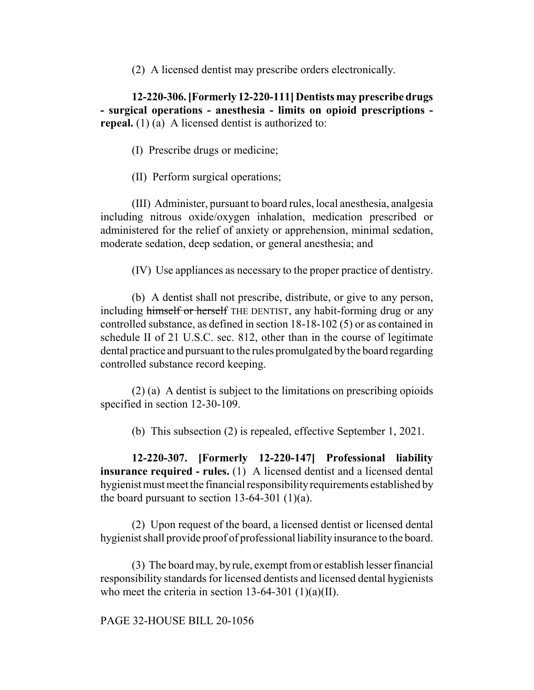(2) A licensed dentist may prescribe orders electronically.

**12-220-306. [Formerly 12-220-111] Dentists may prescribe drugs - surgical operations - anesthesia - limits on opioid prescriptions repeal.** (1) (a) A licensed dentist is authorized to:

(I) Prescribe drugs or medicine;

(II) Perform surgical operations;

(III) Administer, pursuant to board rules, local anesthesia, analgesia including nitrous oxide/oxygen inhalation, medication prescribed or administered for the relief of anxiety or apprehension, minimal sedation, moderate sedation, deep sedation, or general anesthesia; and

(IV) Use appliances as necessary to the proper practice of dentistry.

(b) A dentist shall not prescribe, distribute, or give to any person, including himself or herself THE DENTIST, any habit-forming drug or any controlled substance, as defined in section 18-18-102 (5) or as contained in schedule II of 21 U.S.C. sec. 812, other than in the course of legitimate dental practice and pursuant to the rules promulgated by the board regarding controlled substance record keeping.

(2) (a) A dentist is subject to the limitations on prescribing opioids specified in section 12-30-109.

(b) This subsection (2) is repealed, effective September 1, 2021.

**12-220-307. [Formerly 12-220-147] Professional liability insurance required - rules.** (1) A licensed dentist and a licensed dental hygienist must meet the financial responsibility requirements established by the board pursuant to section  $13-64-301$  (1)(a).

(2) Upon request of the board, a licensed dentist or licensed dental hygienist shall provide proof of professional liability insurance to the board.

(3) The board may, by rule, exempt from or establish lesser financial responsibility standards for licensed dentists and licensed dental hygienists who meet the criteria in section  $13-64-301$  (1)(a)(II).

PAGE 32-HOUSE BILL 20-1056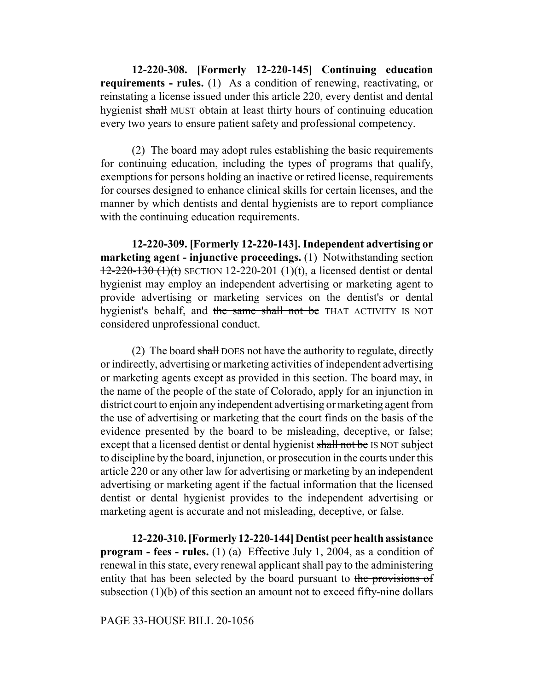**12-220-308. [Formerly 12-220-145] Continuing education requirements - rules.** (1) As a condition of renewing, reactivating, or reinstating a license issued under this article 220, every dentist and dental hygienist shall MUST obtain at least thirty hours of continuing education every two years to ensure patient safety and professional competency.

(2) The board may adopt rules establishing the basic requirements for continuing education, including the types of programs that qualify, exemptions for persons holding an inactive or retired license, requirements for courses designed to enhance clinical skills for certain licenses, and the manner by which dentists and dental hygienists are to report compliance with the continuing education requirements.

**12-220-309. [Formerly 12-220-143]. Independent advertising or marketing agent - injunctive proceedings.** (1) Notwithstanding section  $12-220-130$  (1)(t) SECTION 12-220-201 (1)(t), a licensed dentist or dental hygienist may employ an independent advertising or marketing agent to provide advertising or marketing services on the dentist's or dental hygienist's behalf, and the same shall not be THAT ACTIVITY IS NOT considered unprofessional conduct.

(2) The board shall DOES not have the authority to regulate, directly or indirectly, advertising or marketing activities of independent advertising or marketing agents except as provided in this section. The board may, in the name of the people of the state of Colorado, apply for an injunction in district court to enjoin any independent advertising or marketing agent from the use of advertising or marketing that the court finds on the basis of the evidence presented by the board to be misleading, deceptive, or false; except that a licensed dentist or dental hygienist shall not be IS NOT subject to discipline by the board, injunction, or prosecution in the courts under this article 220 or any other law for advertising or marketing by an independent advertising or marketing agent if the factual information that the licensed dentist or dental hygienist provides to the independent advertising or marketing agent is accurate and not misleading, deceptive, or false.

**12-220-310. [Formerly 12-220-144] Dentist peer health assistance program - fees - rules.** (1) (a) Effective July 1, 2004, as a condition of renewal in this state, every renewal applicant shall pay to the administering entity that has been selected by the board pursuant to the provisions of subsection (1)(b) of this section an amount not to exceed fifty-nine dollars

PAGE 33-HOUSE BILL 20-1056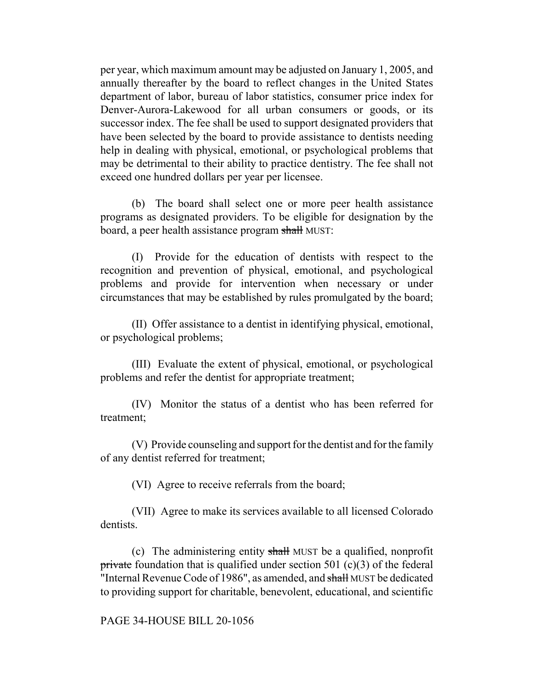per year, which maximum amount may be adjusted on January 1, 2005, and annually thereafter by the board to reflect changes in the United States department of labor, bureau of labor statistics, consumer price index for Denver-Aurora-Lakewood for all urban consumers or goods, or its successor index. The fee shall be used to support designated providers that have been selected by the board to provide assistance to dentists needing help in dealing with physical, emotional, or psychological problems that may be detrimental to their ability to practice dentistry. The fee shall not exceed one hundred dollars per year per licensee.

(b) The board shall select one or more peer health assistance programs as designated providers. To be eligible for designation by the board, a peer health assistance program shall MUST:

(I) Provide for the education of dentists with respect to the recognition and prevention of physical, emotional, and psychological problems and provide for intervention when necessary or under circumstances that may be established by rules promulgated by the board;

(II) Offer assistance to a dentist in identifying physical, emotional, or psychological problems;

(III) Evaluate the extent of physical, emotional, or psychological problems and refer the dentist for appropriate treatment;

(IV) Monitor the status of a dentist who has been referred for treatment;

(V) Provide counseling and support for the dentist and for the family of any dentist referred for treatment;

(VI) Agree to receive referrals from the board;

(VII) Agree to make its services available to all licensed Colorado dentists.

(c) The administering entity shall MUST be a qualified, nonprofit private foundation that is qualified under section 501  $(c)(3)$  of the federal "Internal Revenue Code of 1986", as amended, and shall MUST be dedicated to providing support for charitable, benevolent, educational, and scientific

PAGE 34-HOUSE BILL 20-1056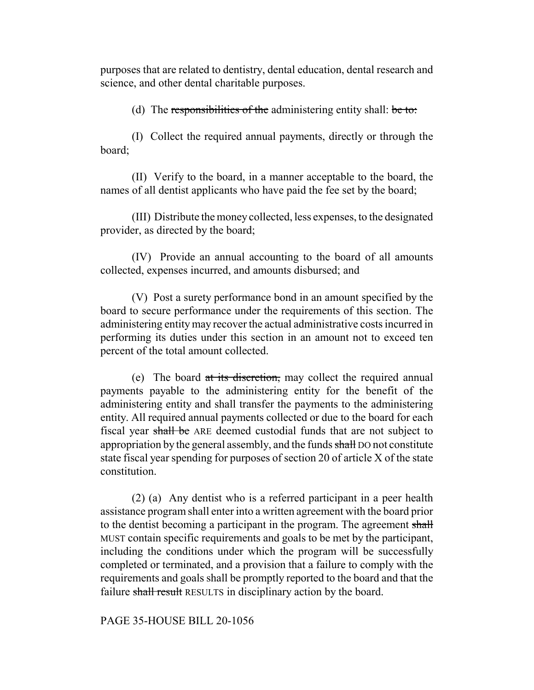purposes that are related to dentistry, dental education, dental research and science, and other dental charitable purposes.

(d) The responsibilities of the administering entity shall: be to:

(I) Collect the required annual payments, directly or through the board;

(II) Verify to the board, in a manner acceptable to the board, the names of all dentist applicants who have paid the fee set by the board;

(III) Distribute the money collected, less expenses, to the designated provider, as directed by the board;

(IV) Provide an annual accounting to the board of all amounts collected, expenses incurred, and amounts disbursed; and

(V) Post a surety performance bond in an amount specified by the board to secure performance under the requirements of this section. The administering entity may recover the actual administrative costs incurred in performing its duties under this section in an amount not to exceed ten percent of the total amount collected.

(e) The board at its discretion, may collect the required annual payments payable to the administering entity for the benefit of the administering entity and shall transfer the payments to the administering entity. All required annual payments collected or due to the board for each fiscal year shall be ARE deemed custodial funds that are not subject to appropriation by the general assembly, and the funds shall DO not constitute state fiscal year spending for purposes of section 20 of article X of the state constitution.

(2) (a) Any dentist who is a referred participant in a peer health assistance program shall enter into a written agreement with the board prior to the dentist becoming a participant in the program. The agreement shall MUST contain specific requirements and goals to be met by the participant, including the conditions under which the program will be successfully completed or terminated, and a provision that a failure to comply with the requirements and goals shall be promptly reported to the board and that the failure shall result RESULTS in disciplinary action by the board.

PAGE 35-HOUSE BILL 20-1056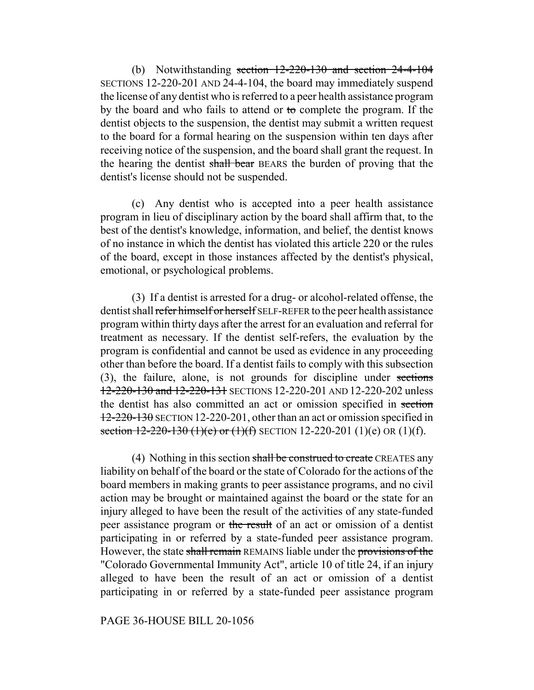(b) Notwithstanding section 12-220-130 and section 24-4-104 SECTIONS 12-220-201 AND 24-4-104, the board may immediately suspend the license of any dentist who is referred to a peer health assistance program by the board and who fails to attend or to complete the program. If the dentist objects to the suspension, the dentist may submit a written request to the board for a formal hearing on the suspension within ten days after receiving notice of the suspension, and the board shall grant the request. In the hearing the dentist shall bear BEARS the burden of proving that the dentist's license should not be suspended.

(c) Any dentist who is accepted into a peer health assistance program in lieu of disciplinary action by the board shall affirm that, to the best of the dentist's knowledge, information, and belief, the dentist knows of no instance in which the dentist has violated this article 220 or the rules of the board, except in those instances affected by the dentist's physical, emotional, or psychological problems.

(3) If a dentist is arrested for a drug- or alcohol-related offense, the dentist shall refer himself or herself SELF-REFER to the peer health assistance program within thirty days after the arrest for an evaluation and referral for treatment as necessary. If the dentist self-refers, the evaluation by the program is confidential and cannot be used as evidence in any proceeding other than before the board. If a dentist fails to comply with this subsection (3), the failure, alone, is not grounds for discipline under sections 12-220-130 and 12-220-131 SECTIONS 12-220-201 AND 12-220-202 unless the dentist has also committed an act or omission specified in section  $12-220-130$  SECTION 12-220-201, other than an act or omission specified in section  $12-220-130$  (1)(e) or (1)(f) SECTION 12-220-201 (1)(e) OR (1)(f).

(4) Nothing in this section shall be construed to create CREATES any liability on behalf of the board or the state of Colorado for the actions of the board members in making grants to peer assistance programs, and no civil action may be brought or maintained against the board or the state for an injury alleged to have been the result of the activities of any state-funded peer assistance program or the result of an act or omission of a dentist participating in or referred by a state-funded peer assistance program. However, the state shall remain REMAINS liable under the provisions of the "Colorado Governmental Immunity Act", article 10 of title 24, if an injury alleged to have been the result of an act or omission of a dentist participating in or referred by a state-funded peer assistance program

#### PAGE 36-HOUSE BILL 20-1056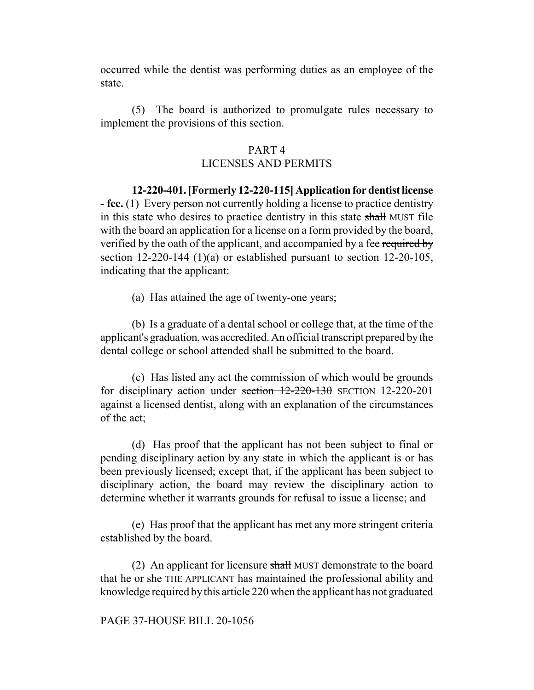occurred while the dentist was performing duties as an employee of the state.

(5) The board is authorized to promulgate rules necessary to implement the provisions of this section.

#### PART 4

## LICENSES AND PERMITS

**12-220-401. [Formerly 12-220-115] Application for dentist license - fee.** (1) Every person not currently holding a license to practice dentistry in this state who desires to practice dentistry in this state shall MUST file with the board an application for a license on a form provided by the board, verified by the oath of the applicant, and accompanied by a fee required by section  $12-220-144$  (1)(a) or established pursuant to section 12-20-105, indicating that the applicant:

(a) Has attained the age of twenty-one years;

(b) Is a graduate of a dental school or college that, at the time of the applicant's graduation, was accredited. An official transcript prepared by the dental college or school attended shall be submitted to the board.

(c) Has listed any act the commission of which would be grounds for disciplinary action under section 12-220-130 SECTION 12-220-201 against a licensed dentist, along with an explanation of the circumstances of the act;

(d) Has proof that the applicant has not been subject to final or pending disciplinary action by any state in which the applicant is or has been previously licensed; except that, if the applicant has been subject to disciplinary action, the board may review the disciplinary action to determine whether it warrants grounds for refusal to issue a license; and

(e) Has proof that the applicant has met any more stringent criteria established by the board.

(2) An applicant for licensure shall MUST demonstrate to the board that he or she THE APPLICANT has maintained the professional ability and knowledge required by this article 220 when the applicant has not graduated

#### PAGE 37-HOUSE BILL 20-1056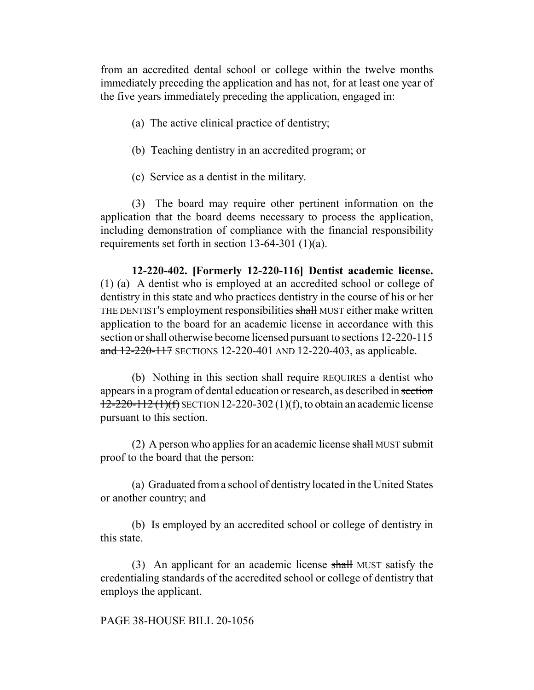from an accredited dental school or college within the twelve months immediately preceding the application and has not, for at least one year of the five years immediately preceding the application, engaged in:

- (a) The active clinical practice of dentistry;
- (b) Teaching dentistry in an accredited program; or
- (c) Service as a dentist in the military.

(3) The board may require other pertinent information on the application that the board deems necessary to process the application, including demonstration of compliance with the financial responsibility requirements set forth in section 13-64-301 (1)(a).

**12-220-402. [Formerly 12-220-116] Dentist academic license.** (1) (a) A dentist who is employed at an accredited school or college of dentistry in this state and who practices dentistry in the course of his or her THE DENTIST'S employment responsibilities shall MUST either make written application to the board for an academic license in accordance with this section or shall otherwise become licensed pursuant to sections 12-220-115 and 12-220-117 SECTIONS 12-220-401 AND 12-220-403, as applicable.

(b) Nothing in this section shall require REQUIRES a dentist who appears in a program of dental education or research, as described in section  $12-220-112$  (1)(f) SECTION 12-220-302 (1)(f), to obtain an academic license pursuant to this section.

(2) A person who applies for an academic license  $\frac{1}{\text{shall}}$  MUST submit proof to the board that the person:

(a) Graduated from a school of dentistry located in the United States or another country; and

(b) Is employed by an accredited school or college of dentistry in this state.

(3) An applicant for an academic license shall MUST satisfy the credentialing standards of the accredited school or college of dentistry that employs the applicant.

#### PAGE 38-HOUSE BILL 20-1056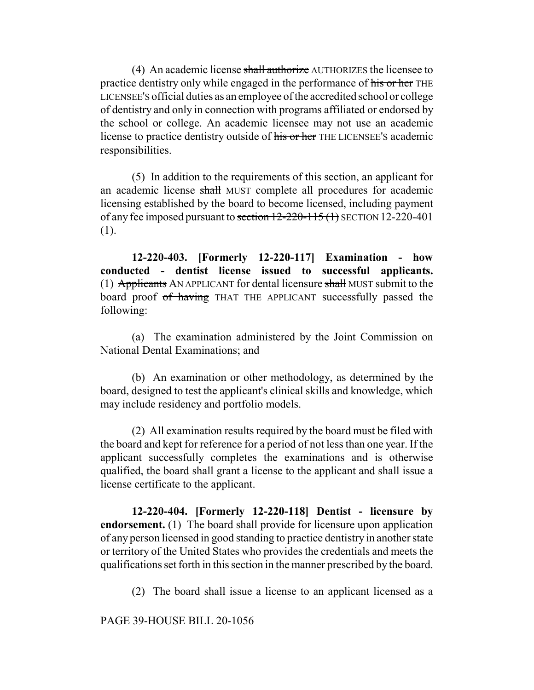(4) An academic license shall authorize AUTHORIZES the licensee to practice dentistry only while engaged in the performance of his or her THE LICENSEE'S official duties as an employee of the accredited school or college of dentistry and only in connection with programs affiliated or endorsed by the school or college. An academic licensee may not use an academic license to practice dentistry outside of his or her THE LICENSEE'S academic responsibilities.

(5) In addition to the requirements of this section, an applicant for an academic license shall MUST complete all procedures for academic licensing established by the board to become licensed, including payment of any fee imposed pursuant to section  $12-220-115$  (1) SECTION 12-220-401 (1).

**12-220-403. [Formerly 12-220-117] Examination - how conducted - dentist license issued to successful applicants.** (1) Applicants AN APPLICANT for dental licensure shall MUST submit to the board proof of having THAT THE APPLICANT successfully passed the following:

(a) The examination administered by the Joint Commission on National Dental Examinations; and

(b) An examination or other methodology, as determined by the board, designed to test the applicant's clinical skills and knowledge, which may include residency and portfolio models.

(2) All examination results required by the board must be filed with the board and kept for reference for a period of not less than one year. If the applicant successfully completes the examinations and is otherwise qualified, the board shall grant a license to the applicant and shall issue a license certificate to the applicant.

**12-220-404. [Formerly 12-220-118] Dentist - licensure by endorsement.** (1) The board shall provide for licensure upon application of any person licensed in good standing to practice dentistry in another state or territory of the United States who provides the credentials and meets the qualifications set forth in this section in the manner prescribed by the board.

(2) The board shall issue a license to an applicant licensed as a

PAGE 39-HOUSE BILL 20-1056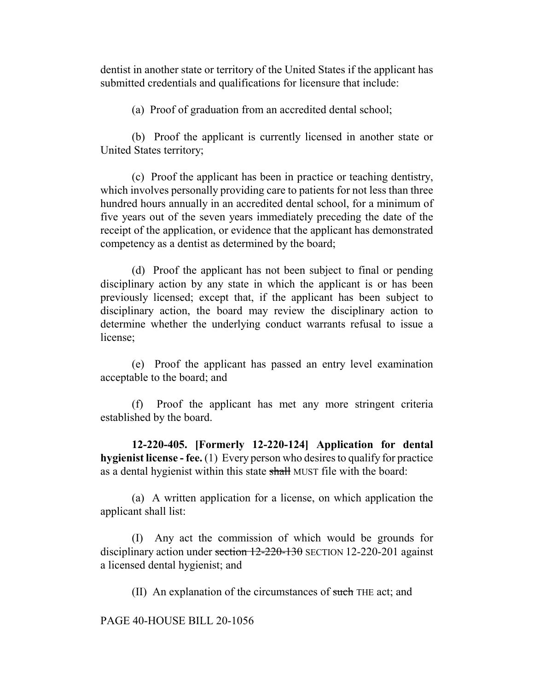dentist in another state or territory of the United States if the applicant has submitted credentials and qualifications for licensure that include:

(a) Proof of graduation from an accredited dental school;

(b) Proof the applicant is currently licensed in another state or United States territory;

(c) Proof the applicant has been in practice or teaching dentistry, which involves personally providing care to patients for not less than three hundred hours annually in an accredited dental school, for a minimum of five years out of the seven years immediately preceding the date of the receipt of the application, or evidence that the applicant has demonstrated competency as a dentist as determined by the board;

(d) Proof the applicant has not been subject to final or pending disciplinary action by any state in which the applicant is or has been previously licensed; except that, if the applicant has been subject to disciplinary action, the board may review the disciplinary action to determine whether the underlying conduct warrants refusal to issue a license;

(e) Proof the applicant has passed an entry level examination acceptable to the board; and

(f) Proof the applicant has met any more stringent criteria established by the board.

**12-220-405. [Formerly 12-220-124] Application for dental hygienist license - fee.** (1) Every person who desires to qualify for practice as a dental hygienist within this state shall MUST file with the board:

(a) A written application for a license, on which application the applicant shall list:

(I) Any act the commission of which would be grounds for disciplinary action under section 12-220-130 SECTION 12-220-201 against a licensed dental hygienist; and

(II) An explanation of the circumstances of such THE act; and

PAGE 40-HOUSE BILL 20-1056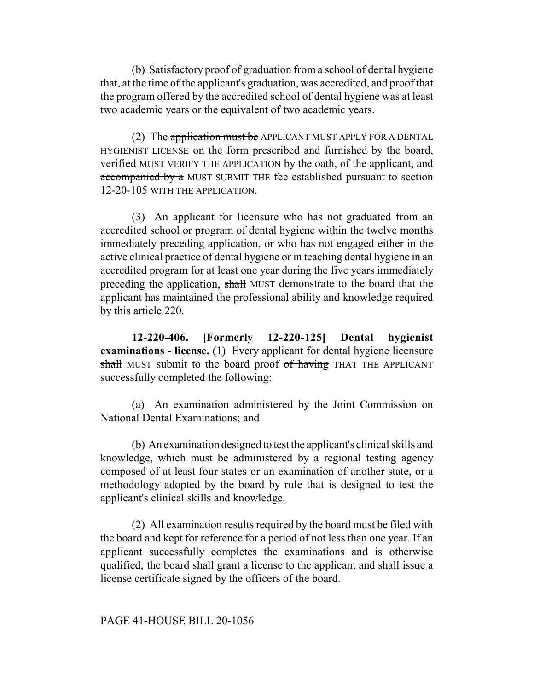(b) Satisfactory proof of graduation from a school of dental hygiene that, at the time of the applicant's graduation, was accredited, and proof that the program offered by the accredited school of dental hygiene was at least two academic years or the equivalent of two academic years.

(2) The application must be APPLICANT MUST APPLY FOR A DENTAL HYGIENIST LICENSE on the form prescribed and furnished by the board, verified MUST VERIFY THE APPLICATION by the oath, of the applicant, and accompanied by a MUST SUBMIT THE fee established pursuant to section 12-20-105 WITH THE APPLICATION.

(3) An applicant for licensure who has not graduated from an accredited school or program of dental hygiene within the twelve months immediately preceding application, or who has not engaged either in the active clinical practice of dental hygiene or in teaching dental hygiene in an accredited program for at least one year during the five years immediately preceding the application, shall MUST demonstrate to the board that the applicant has maintained the professional ability and knowledge required by this article 220.

**12-220-406. [Formerly 12-220-125] Dental hygienist examinations - license.** (1) Every applicant for dental hygiene licensure shall MUST submit to the board proof of having THAT THE APPLICANT successfully completed the following:

(a) An examination administered by the Joint Commission on National Dental Examinations; and

(b) An examination designed to test the applicant's clinical skills and knowledge, which must be administered by a regional testing agency composed of at least four states or an examination of another state, or a methodology adopted by the board by rule that is designed to test the applicant's clinical skills and knowledge.

(2) All examination results required by the board must be filed with the board and kept for reference for a period of not less than one year. If an applicant successfully completes the examinations and is otherwise qualified, the board shall grant a license to the applicant and shall issue a license certificate signed by the officers of the board.

PAGE 41-HOUSE BILL 20-1056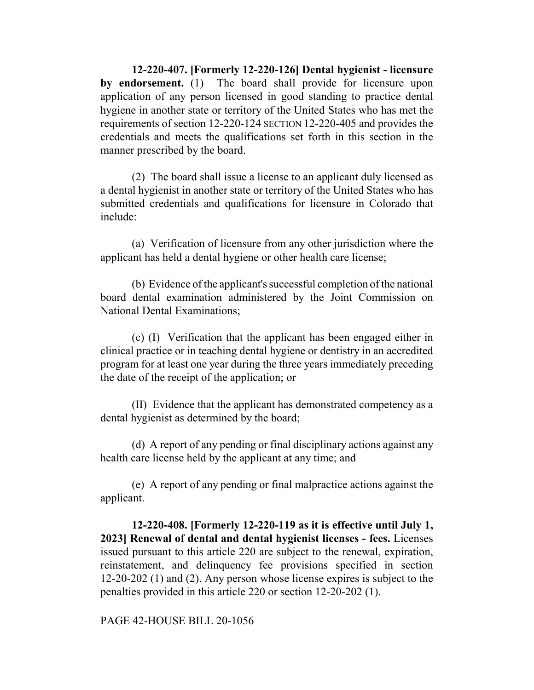**12-220-407. [Formerly 12-220-126] Dental hygienist - licensure by endorsement.** (1) The board shall provide for licensure upon application of any person licensed in good standing to practice dental hygiene in another state or territory of the United States who has met the requirements of section 12-220-124 SECTION 12-220-405 and provides the credentials and meets the qualifications set forth in this section in the manner prescribed by the board.

(2) The board shall issue a license to an applicant duly licensed as a dental hygienist in another state or territory of the United States who has submitted credentials and qualifications for licensure in Colorado that include:

(a) Verification of licensure from any other jurisdiction where the applicant has held a dental hygiene or other health care license;

(b) Evidence of the applicant's successful completion of the national board dental examination administered by the Joint Commission on National Dental Examinations;

(c) (I) Verification that the applicant has been engaged either in clinical practice or in teaching dental hygiene or dentistry in an accredited program for at least one year during the three years immediately preceding the date of the receipt of the application; or

(II) Evidence that the applicant has demonstrated competency as a dental hygienist as determined by the board;

(d) A report of any pending or final disciplinary actions against any health care license held by the applicant at any time; and

(e) A report of any pending or final malpractice actions against the applicant.

**12-220-408. [Formerly 12-220-119 as it is effective until July 1, 2023] Renewal of dental and dental hygienist licenses - fees.** Licenses issued pursuant to this article 220 are subject to the renewal, expiration, reinstatement, and delinquency fee provisions specified in section 12-20-202 (1) and (2). Any person whose license expires is subject to the penalties provided in this article 220 or section 12-20-202 (1).

PAGE 42-HOUSE BILL 20-1056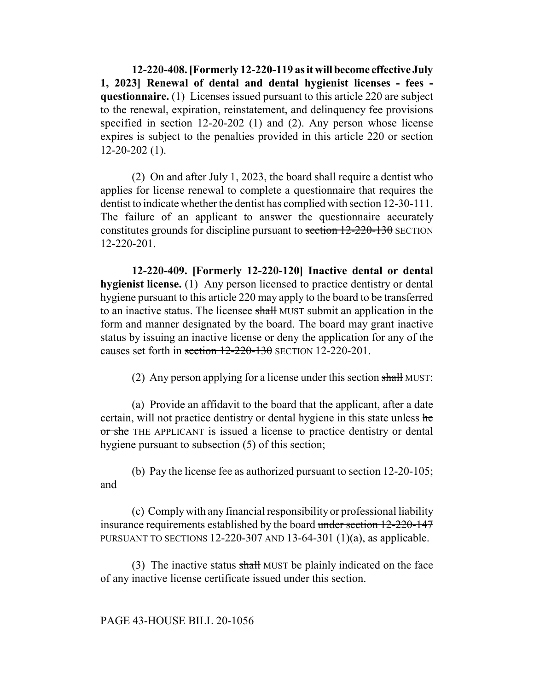**12-220-408. [Formerly 12-220-119 as it will become effective July 1, 2023] Renewal of dental and dental hygienist licenses - fees questionnaire.** (1) Licenses issued pursuant to this article 220 are subject to the renewal, expiration, reinstatement, and delinquency fee provisions specified in section 12-20-202 (1) and (2). Any person whose license expires is subject to the penalties provided in this article 220 or section 12-20-202 (1).

(2) On and after July 1, 2023, the board shall require a dentist who applies for license renewal to complete a questionnaire that requires the dentist to indicate whether the dentist has complied with section 12-30-111. The failure of an applicant to answer the questionnaire accurately constitutes grounds for discipline pursuant to section 12-220-130 SECTION 12-220-201.

**12-220-409. [Formerly 12-220-120] Inactive dental or dental hygienist license.** (1) Any person licensed to practice dentistry or dental hygiene pursuant to this article 220 may apply to the board to be transferred to an inactive status. The licensee shall MUST submit an application in the form and manner designated by the board. The board may grant inactive status by issuing an inactive license or deny the application for any of the causes set forth in section 12-220-130 SECTION 12-220-201.

(2) Any person applying for a license under this section shall MUST:

(a) Provide an affidavit to the board that the applicant, after a date certain, will not practice dentistry or dental hygiene in this state unless he or she THE APPLICANT is issued a license to practice dentistry or dental hygiene pursuant to subsection (5) of this section;

(b) Pay the license fee as authorized pursuant to section 12-20-105; and

(c) Comply with any financial responsibility or professional liability insurance requirements established by the board under section 12-220-147 PURSUANT TO SECTIONS 12-220-307 AND 13-64-301 (1)(a), as applicable.

(3) The inactive status shall MUST be plainly indicated on the face of any inactive license certificate issued under this section.

#### PAGE 43-HOUSE BILL 20-1056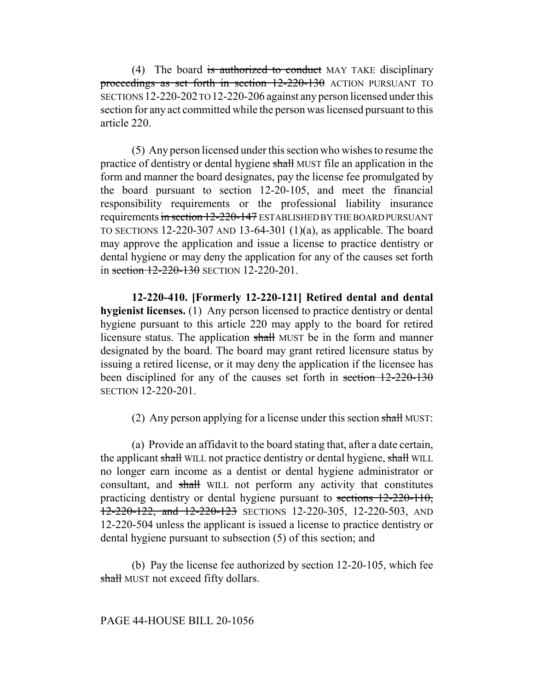(4) The board is authorized to conduct MAY TAKE disciplinary proceedings as set forth in section 12-220-130 ACTION PURSUANT TO SECTIONS 12-220-202 TO 12-220-206 against any person licensed under this section for any act committed while the person was licensed pursuant to this article 220.

(5) Any person licensed under this section who wishes to resume the practice of dentistry or dental hygiene shall MUST file an application in the form and manner the board designates, pay the license fee promulgated by the board pursuant to section 12-20-105, and meet the financial responsibility requirements or the professional liability insurance requirements in section 12-220-147 ESTABLISHED BY THE BOARD PURSUANT TO SECTIONS 12-220-307 AND 13-64-301  $(1)(a)$ , as applicable. The board may approve the application and issue a license to practice dentistry or dental hygiene or may deny the application for any of the causes set forth in section 12-220-130 SECTION 12-220-201.

**12-220-410. [Formerly 12-220-121] Retired dental and dental hygienist licenses.** (1) Any person licensed to practice dentistry or dental hygiene pursuant to this article 220 may apply to the board for retired licensure status. The application shall MUST be in the form and manner designated by the board. The board may grant retired licensure status by issuing a retired license, or it may deny the application if the licensee has been disciplined for any of the causes set forth in section  $12-220-130$ SECTION 12-220-201.

(2) Any person applying for a license under this section shall MUST:

(a) Provide an affidavit to the board stating that, after a date certain, the applicant shall WILL not practice dentistry or dental hygiene, shall WILL no longer earn income as a dentist or dental hygiene administrator or consultant, and shall WILL not perform any activity that constitutes practicing dentistry or dental hygiene pursuant to sections 12-220-110, 12-220-122, and 12-220-123 SECTIONS 12-220-305, 12-220-503, AND 12-220-504 unless the applicant is issued a license to practice dentistry or dental hygiene pursuant to subsection (5) of this section; and

(b) Pay the license fee authorized by section 12-20-105, which fee shall MUST not exceed fifty dollars.

PAGE 44-HOUSE BILL 20-1056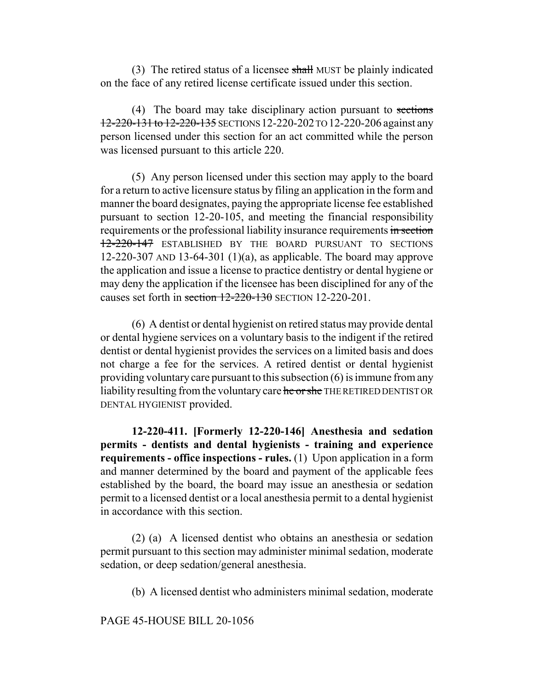(3) The retired status of a licensee shall MUST be plainly indicated on the face of any retired license certificate issued under this section.

(4) The board may take disciplinary action pursuant to sections 12-220-131 to 12-220-135 SECTIONS 12-220-202 TO 12-220-206 against any person licensed under this section for an act committed while the person was licensed pursuant to this article 220.

(5) Any person licensed under this section may apply to the board for a return to active licensure status by filing an application in the form and manner the board designates, paying the appropriate license fee established pursuant to section 12-20-105, and meeting the financial responsibility requirements or the professional liability insurance requirements in section 12-220-147 ESTABLISHED BY THE BOARD PURSUANT TO SECTIONS 12-220-307 AND 13-64-301 (1)(a), as applicable. The board may approve the application and issue a license to practice dentistry or dental hygiene or may deny the application if the licensee has been disciplined for any of the causes set forth in section 12-220-130 SECTION 12-220-201.

(6) A dentist or dental hygienist on retired status may provide dental or dental hygiene services on a voluntary basis to the indigent if the retired dentist or dental hygienist provides the services on a limited basis and does not charge a fee for the services. A retired dentist or dental hygienist providing voluntary care pursuant to this subsection (6) is immune from any liability resulting from the voluntary care he or she THE RETIRED DENTIST OR DENTAL HYGIENIST provided.

**12-220-411. [Formerly 12-220-146] Anesthesia and sedation permits - dentists and dental hygienists - training and experience requirements - office inspections - rules.** (1) Upon application in a form and manner determined by the board and payment of the applicable fees established by the board, the board may issue an anesthesia or sedation permit to a licensed dentist or a local anesthesia permit to a dental hygienist in accordance with this section.

(2) (a) A licensed dentist who obtains an anesthesia or sedation permit pursuant to this section may administer minimal sedation, moderate sedation, or deep sedation/general anesthesia.

(b) A licensed dentist who administers minimal sedation, moderate

PAGE 45-HOUSE BILL 20-1056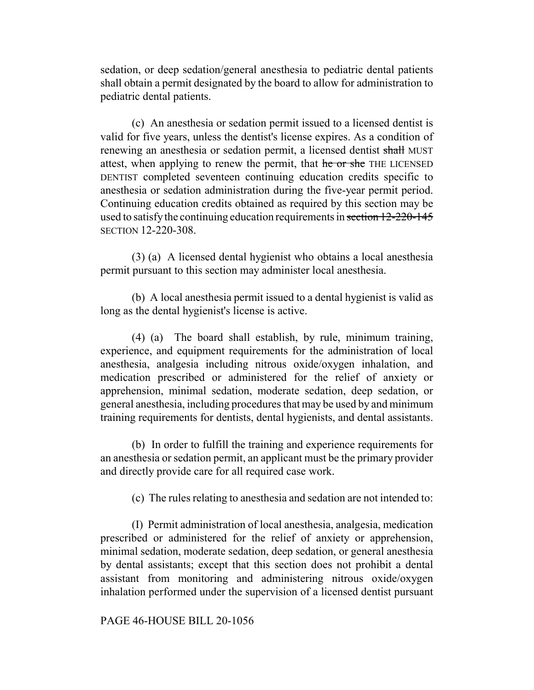sedation, or deep sedation/general anesthesia to pediatric dental patients shall obtain a permit designated by the board to allow for administration to pediatric dental patients.

(c) An anesthesia or sedation permit issued to a licensed dentist is valid for five years, unless the dentist's license expires. As a condition of renewing an anesthesia or sedation permit, a licensed dentist shall MUST attest, when applying to renew the permit, that he or she THE LICENSED DENTIST completed seventeen continuing education credits specific to anesthesia or sedation administration during the five-year permit period. Continuing education credits obtained as required by this section may be used to satisfy the continuing education requirements in section 12-220-145 SECTION 12-220-308.

(3) (a) A licensed dental hygienist who obtains a local anesthesia permit pursuant to this section may administer local anesthesia.

(b) A local anesthesia permit issued to a dental hygienist is valid as long as the dental hygienist's license is active.

(4) (a) The board shall establish, by rule, minimum training, experience, and equipment requirements for the administration of local anesthesia, analgesia including nitrous oxide/oxygen inhalation, and medication prescribed or administered for the relief of anxiety or apprehension, minimal sedation, moderate sedation, deep sedation, or general anesthesia, including procedures that may be used by and minimum training requirements for dentists, dental hygienists, and dental assistants.

(b) In order to fulfill the training and experience requirements for an anesthesia or sedation permit, an applicant must be the primary provider and directly provide care for all required case work.

(c) The rules relating to anesthesia and sedation are not intended to:

(I) Permit administration of local anesthesia, analgesia, medication prescribed or administered for the relief of anxiety or apprehension, minimal sedation, moderate sedation, deep sedation, or general anesthesia by dental assistants; except that this section does not prohibit a dental assistant from monitoring and administering nitrous oxide/oxygen inhalation performed under the supervision of a licensed dentist pursuant

PAGE 46-HOUSE BILL 20-1056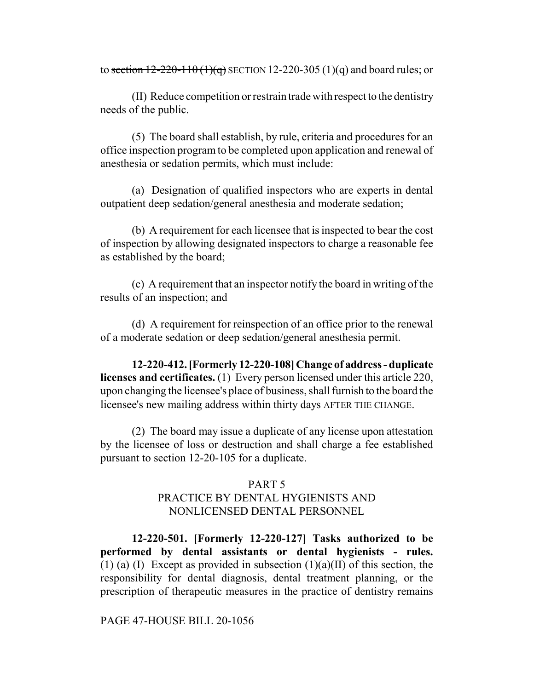to section  $12 - 220 - 110(1)(q)$  SECTION 12-220-305 (1)(q) and board rules; or

(II) Reduce competition or restrain trade with respect to the dentistry needs of the public.

(5) The board shall establish, by rule, criteria and procedures for an office inspection program to be completed upon application and renewal of anesthesia or sedation permits, which must include:

(a) Designation of qualified inspectors who are experts in dental outpatient deep sedation/general anesthesia and moderate sedation;

(b) A requirement for each licensee that is inspected to bear the cost of inspection by allowing designated inspectors to charge a reasonable fee as established by the board;

(c) A requirement that an inspector notify the board in writing of the results of an inspection; and

(d) A requirement for reinspection of an office prior to the renewal of a moderate sedation or deep sedation/general anesthesia permit.

**12-220-412. [Formerly 12-220-108] Change of address - duplicate licenses and certificates.** (1) Every person licensed under this article 220, upon changing the licensee's place of business, shall furnish to the board the licensee's new mailing address within thirty days AFTER THE CHANGE.

(2) The board may issue a duplicate of any license upon attestation by the licensee of loss or destruction and shall charge a fee established pursuant to section 12-20-105 for a duplicate.

#### PART 5

# PRACTICE BY DENTAL HYGIENISTS AND NONLICENSED DENTAL PERSONNEL

**12-220-501. [Formerly 12-220-127] Tasks authorized to be performed by dental assistants or dental hygienists - rules.** (1) (a) (I) Except as provided in subsection  $(1)(a)(II)$  of this section, the responsibility for dental diagnosis, dental treatment planning, or the prescription of therapeutic measures in the practice of dentistry remains

PAGE 47-HOUSE BILL 20-1056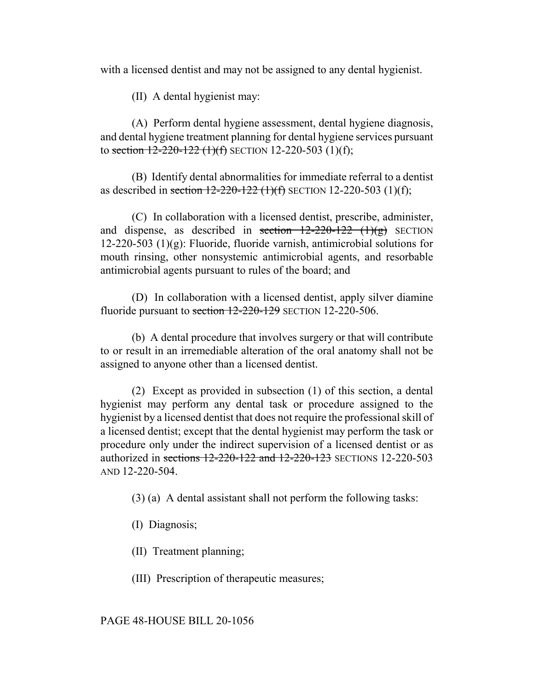with a licensed dentist and may not be assigned to any dental hygienist.

(II) A dental hygienist may:

(A) Perform dental hygiene assessment, dental hygiene diagnosis, and dental hygiene treatment planning for dental hygiene services pursuant to section  $12-220-122$  (1)(f) SECTION 12-220-503 (1)(f);

(B) Identify dental abnormalities for immediate referral to a dentist as described in section  $12-220-122$  (1)(f) SECTION 12-220-503 (1)(f);

(C) In collaboration with a licensed dentist, prescribe, administer, and dispense, as described in section  $12-220-122$  (1)(g) SECTION 12-220-503 (1)(g): Fluoride, fluoride varnish, antimicrobial solutions for mouth rinsing, other nonsystemic antimicrobial agents, and resorbable antimicrobial agents pursuant to rules of the board; and

(D) In collaboration with a licensed dentist, apply silver diamine fluoride pursuant to section 12-220-129 SECTION 12-220-506.

(b) A dental procedure that involves surgery or that will contribute to or result in an irremediable alteration of the oral anatomy shall not be assigned to anyone other than a licensed dentist.

(2) Except as provided in subsection (1) of this section, a dental hygienist may perform any dental task or procedure assigned to the hygienist by a licensed dentist that does not require the professional skill of a licensed dentist; except that the dental hygienist may perform the task or procedure only under the indirect supervision of a licensed dentist or as authorized in sections 12-220-122 and 12-220-123 SECTIONS 12-220-503 AND 12-220-504.

(3) (a) A dental assistant shall not perform the following tasks:

(I) Diagnosis;

(II) Treatment planning;

(III) Prescription of therapeutic measures;

PAGE 48-HOUSE BILL 20-1056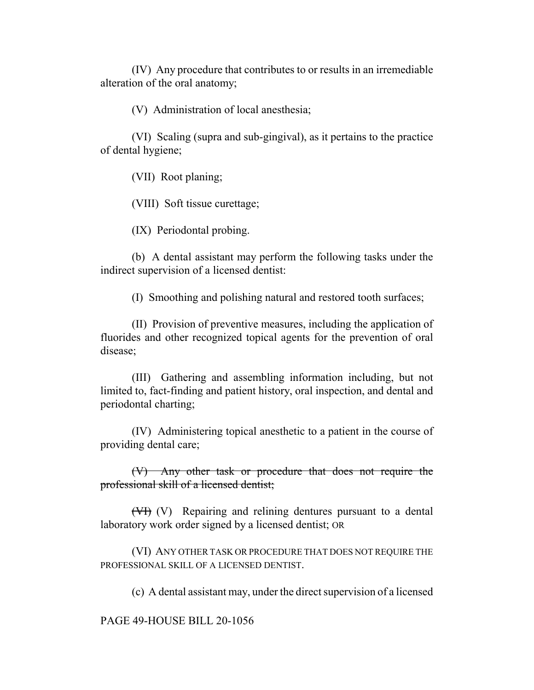(IV) Any procedure that contributes to or results in an irremediable alteration of the oral anatomy;

(V) Administration of local anesthesia;

(VI) Scaling (supra and sub-gingival), as it pertains to the practice of dental hygiene;

(VII) Root planing;

(VIII) Soft tissue curettage;

(IX) Periodontal probing.

(b) A dental assistant may perform the following tasks under the indirect supervision of a licensed dentist:

(I) Smoothing and polishing natural and restored tooth surfaces;

(II) Provision of preventive measures, including the application of fluorides and other recognized topical agents for the prevention of oral disease;

(III) Gathering and assembling information including, but not limited to, fact-finding and patient history, oral inspection, and dental and periodontal charting;

(IV) Administering topical anesthetic to a patient in the course of providing dental care;

(V) Any other task or procedure that does not require the professional skill of a licensed dentist;

(VI) (V) Repairing and relining dentures pursuant to a dental laboratory work order signed by a licensed dentist; OR

(VI) ANY OTHER TASK OR PROCEDURE THAT DOES NOT REQUIRE THE PROFESSIONAL SKILL OF A LICENSED DENTIST.

(c) A dental assistant may, under the direct supervision of a licensed

PAGE 49-HOUSE BILL 20-1056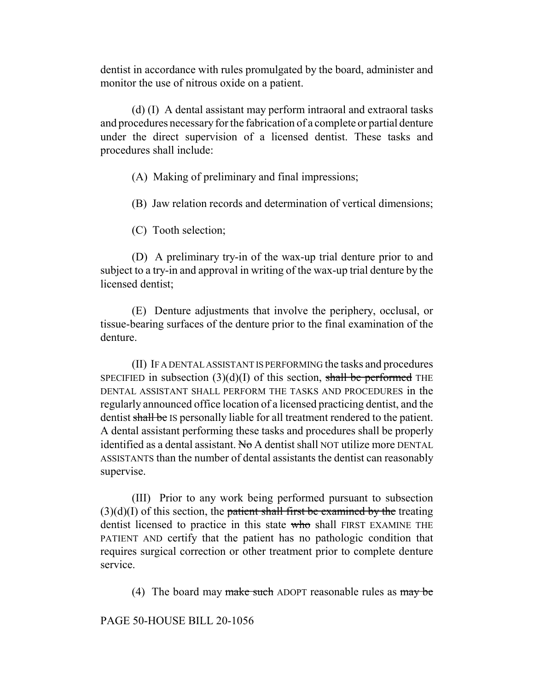dentist in accordance with rules promulgated by the board, administer and monitor the use of nitrous oxide on a patient.

(d) (I) A dental assistant may perform intraoral and extraoral tasks and procedures necessary for the fabrication of a complete or partial denture under the direct supervision of a licensed dentist. These tasks and procedures shall include:

(A) Making of preliminary and final impressions;

(B) Jaw relation records and determination of vertical dimensions;

(C) Tooth selection;

(D) A preliminary try-in of the wax-up trial denture prior to and subject to a try-in and approval in writing of the wax-up trial denture by the licensed dentist;

(E) Denture adjustments that involve the periphery, occlusal, or tissue-bearing surfaces of the denture prior to the final examination of the denture.

(II) IF A DENTAL ASSISTANT IS PERFORMING the tasks and procedures SPECIFIED in subsection  $(3)(d)(I)$  of this section, shall be performed THE DENTAL ASSISTANT SHALL PERFORM THE TASKS AND PROCEDURES in the regularly announced office location of a licensed practicing dentist, and the dentist shall be IS personally liable for all treatment rendered to the patient. A dental assistant performing these tasks and procedures shall be properly identified as a dental assistant. No A dentist shall NOT utilize more DENTAL ASSISTANTS than the number of dental assistants the dentist can reasonably supervise.

(III) Prior to any work being performed pursuant to subsection  $(3)(d)(I)$  of this section, the patient shall first be examined by the treating dentist licensed to practice in this state who shall FIRST EXAMINE THE PATIENT AND certify that the patient has no pathologic condition that requires surgical correction or other treatment prior to complete denture service.

(4) The board may make such ADOPT reasonable rules as  $\frac{m}{x}$  be

PAGE 50-HOUSE BILL 20-1056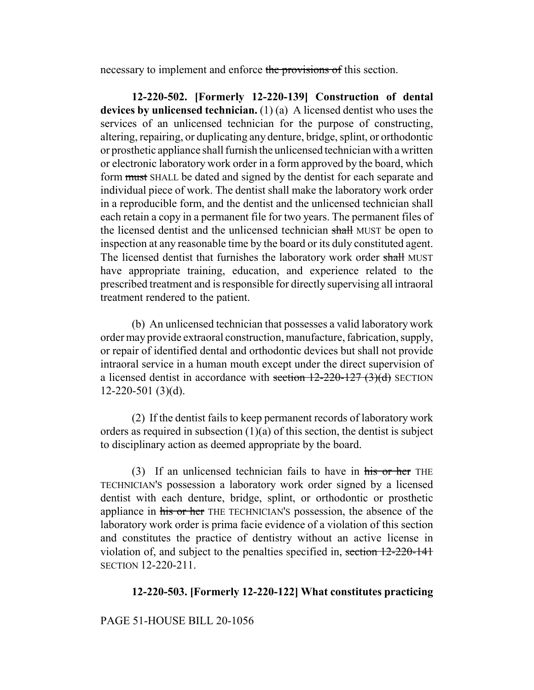necessary to implement and enforce the provisions of this section.

**12-220-502. [Formerly 12-220-139] Construction of dental devices by unlicensed technician.** (1) (a) A licensed dentist who uses the services of an unlicensed technician for the purpose of constructing, altering, repairing, or duplicating any denture, bridge, splint, or orthodontic or prosthetic appliance shall furnish the unlicensed technician with a written or electronic laboratory work order in a form approved by the board, which form must SHALL be dated and signed by the dentist for each separate and individual piece of work. The dentist shall make the laboratory work order in a reproducible form, and the dentist and the unlicensed technician shall each retain a copy in a permanent file for two years. The permanent files of the licensed dentist and the unlicensed technician shall MUST be open to inspection at any reasonable time by the board or its duly constituted agent. The licensed dentist that furnishes the laboratory work order shall MUST have appropriate training, education, and experience related to the prescribed treatment and is responsible for directly supervising all intraoral treatment rendered to the patient.

(b) An unlicensed technician that possesses a valid laboratory work order may provide extraoral construction, manufacture, fabrication, supply, or repair of identified dental and orthodontic devices but shall not provide intraoral service in a human mouth except under the direct supervision of a licensed dentist in accordance with section  $12-220-127$  (3)(d) SECTION 12-220-501 (3)(d).

(2) If the dentist fails to keep permanent records of laboratory work orders as required in subsection  $(1)(a)$  of this section, the dentist is subject to disciplinary action as deemed appropriate by the board.

(3) If an unlicensed technician fails to have in  $\overline{his}$  or her THE TECHNICIAN'S possession a laboratory work order signed by a licensed dentist with each denture, bridge, splint, or orthodontic or prosthetic appliance in his or her THE TECHNICIAN'S possession, the absence of the laboratory work order is prima facie evidence of a violation of this section and constitutes the practice of dentistry without an active license in violation of, and subject to the penalties specified in, section 12-220-141 SECTION 12-220-211.

## **12-220-503. [Formerly 12-220-122] What constitutes practicing**

#### PAGE 51-HOUSE BILL 20-1056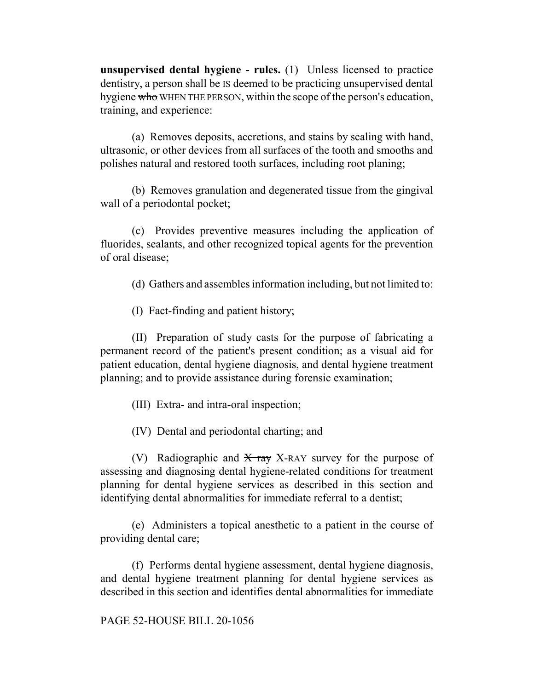**unsupervised dental hygiene - rules.** (1) Unless licensed to practice dentistry, a person shall be IS deemed to be practicing unsupervised dental hygiene who WHEN THE PERSON, within the scope of the person's education, training, and experience:

(a) Removes deposits, accretions, and stains by scaling with hand, ultrasonic, or other devices from all surfaces of the tooth and smooths and polishes natural and restored tooth surfaces, including root planing;

(b) Removes granulation and degenerated tissue from the gingival wall of a periodontal pocket;

(c) Provides preventive measures including the application of fluorides, sealants, and other recognized topical agents for the prevention of oral disease;

(d) Gathers and assembles information including, but not limited to:

(I) Fact-finding and patient history;

(II) Preparation of study casts for the purpose of fabricating a permanent record of the patient's present condition; as a visual aid for patient education, dental hygiene diagnosis, and dental hygiene treatment planning; and to provide assistance during forensic examination;

(III) Extra- and intra-oral inspection;

(IV) Dental and periodontal charting; and

(V) Radiographic and  $\overline{X}$  ray X-RAY survey for the purpose of assessing and diagnosing dental hygiene-related conditions for treatment planning for dental hygiene services as described in this section and identifying dental abnormalities for immediate referral to a dentist;

(e) Administers a topical anesthetic to a patient in the course of providing dental care;

(f) Performs dental hygiene assessment, dental hygiene diagnosis, and dental hygiene treatment planning for dental hygiene services as described in this section and identifies dental abnormalities for immediate

#### PAGE 52-HOUSE BILL 20-1056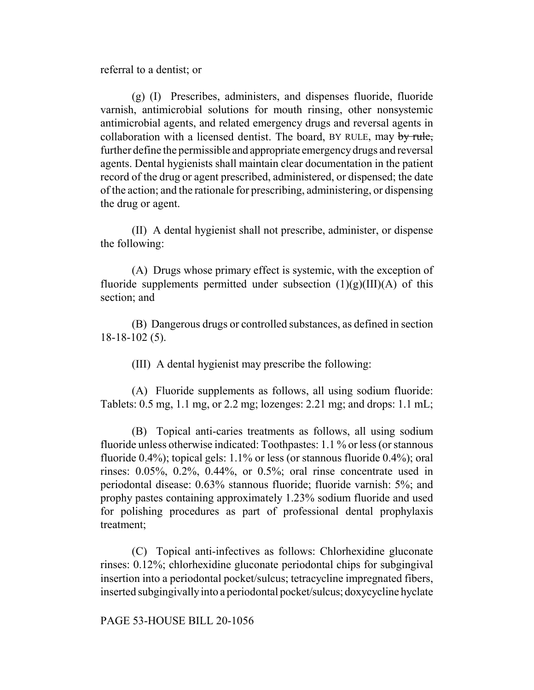referral to a dentist; or

(g) (I) Prescribes, administers, and dispenses fluoride, fluoride varnish, antimicrobial solutions for mouth rinsing, other nonsystemic antimicrobial agents, and related emergency drugs and reversal agents in collaboration with a licensed dentist. The board, BY RULE, may by rule, further define the permissible and appropriate emergency drugs and reversal agents. Dental hygienists shall maintain clear documentation in the patient record of the drug or agent prescribed, administered, or dispensed; the date of the action; and the rationale for prescribing, administering, or dispensing the drug or agent.

(II) A dental hygienist shall not prescribe, administer, or dispense the following:

(A) Drugs whose primary effect is systemic, with the exception of fluoride supplements permitted under subsection  $(1)(g)(III)(A)$  of this section; and

(B) Dangerous drugs or controlled substances, as defined in section 18-18-102 (5).

(III) A dental hygienist may prescribe the following:

(A) Fluoride supplements as follows, all using sodium fluoride: Tablets: 0.5 mg, 1.1 mg, or 2.2 mg; lozenges: 2.21 mg; and drops: 1.1 mL;

(B) Topical anti-caries treatments as follows, all using sodium fluoride unless otherwise indicated: Toothpastes: 1.1 % or less (or stannous fluoride 0.4%); topical gels: 1.1% or less (or stannous fluoride 0.4%); oral rinses: 0.05%, 0.2%, 0.44%, or 0.5%; oral rinse concentrate used in periodontal disease: 0.63% stannous fluoride; fluoride varnish: 5%; and prophy pastes containing approximately 1.23% sodium fluoride and used for polishing procedures as part of professional dental prophylaxis treatment;

(C) Topical anti-infectives as follows: Chlorhexidine gluconate rinses: 0.12%; chlorhexidine gluconate periodontal chips for subgingival insertion into a periodontal pocket/sulcus; tetracycline impregnated fibers, inserted subgingivally into a periodontal pocket/sulcus; doxycycline hyclate

PAGE 53-HOUSE BILL 20-1056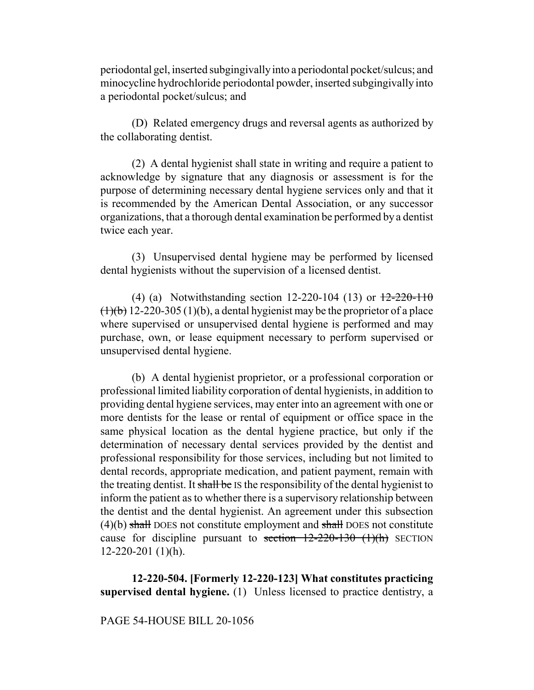periodontal gel, inserted subgingivally into a periodontal pocket/sulcus; and minocycline hydrochloride periodontal powder, inserted subgingivally into a periodontal pocket/sulcus; and

(D) Related emergency drugs and reversal agents as authorized by the collaborating dentist.

(2) A dental hygienist shall state in writing and require a patient to acknowledge by signature that any diagnosis or assessment is for the purpose of determining necessary dental hygiene services only and that it is recommended by the American Dental Association, or any successor organizations, that a thorough dental examination be performed by a dentist twice each year.

(3) Unsupervised dental hygiene may be performed by licensed dental hygienists without the supervision of a licensed dentist.

(4) (a) Notwithstanding section 12-220-104 (13) or  $\frac{12-220-110}{20}$  $(1)(b)$  12-220-305 (1)(b), a dental hygienist may be the proprietor of a place where supervised or unsupervised dental hygiene is performed and may purchase, own, or lease equipment necessary to perform supervised or unsupervised dental hygiene.

(b) A dental hygienist proprietor, or a professional corporation or professional limited liability corporation of dental hygienists, in addition to providing dental hygiene services, may enter into an agreement with one or more dentists for the lease or rental of equipment or office space in the same physical location as the dental hygiene practice, but only if the determination of necessary dental services provided by the dentist and professional responsibility for those services, including but not limited to dental records, appropriate medication, and patient payment, remain with the treating dentist. It shall be IS the responsibility of the dental hygienist to inform the patient as to whether there is a supervisory relationship between the dentist and the dental hygienist. An agreement under this subsection  $(4)(b)$  shall DOES not constitute employment and shall DOES not constitute cause for discipline pursuant to section  $12-220-130$  (1)(h) SECTION  $12-220-201$  (1)(h).

**12-220-504. [Formerly 12-220-123] What constitutes practicing supervised dental hygiene.** (1) Unless licensed to practice dentistry, a

PAGE 54-HOUSE BILL 20-1056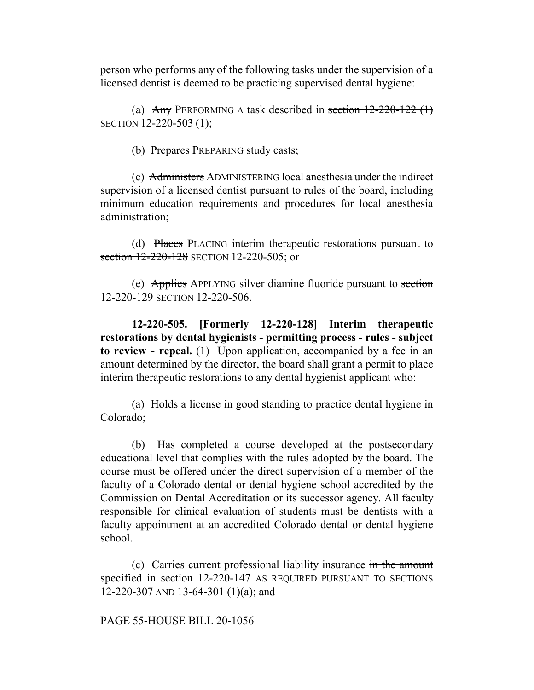person who performs any of the following tasks under the supervision of a licensed dentist is deemed to be practicing supervised dental hygiene:

(a)  $\text{Any }$  PERFORMING A task described in section 12-220-122 (1) SECTION 12-220-503 (1);

(b) Prepares PREPARING study casts;

(c) Administers ADMINISTERING local anesthesia under the indirect supervision of a licensed dentist pursuant to rules of the board, including minimum education requirements and procedures for local anesthesia administration;

(d) Places PLACING interim therapeutic restorations pursuant to section 12-220-128 SECTION 12-220-505; or

(e) Applies APPLYING silver diamine fluoride pursuant to section 12-220-129 SECTION 12-220-506.

**12-220-505. [Formerly 12-220-128] Interim therapeutic restorations by dental hygienists - permitting process - rules - subject to review - repeal.** (1) Upon application, accompanied by a fee in an amount determined by the director, the board shall grant a permit to place interim therapeutic restorations to any dental hygienist applicant who:

(a) Holds a license in good standing to practice dental hygiene in Colorado;

(b) Has completed a course developed at the postsecondary educational level that complies with the rules adopted by the board. The course must be offered under the direct supervision of a member of the faculty of a Colorado dental or dental hygiene school accredited by the Commission on Dental Accreditation or its successor agency. All faculty responsible for clinical evaluation of students must be dentists with a faculty appointment at an accredited Colorado dental or dental hygiene school.

(c) Carries current professional liability insurance in the amount specified in section 12-220-147 AS REQUIRED PURSUANT TO SECTIONS 12-220-307 AND 13-64-301 (1)(a); and

PAGE 55-HOUSE BILL 20-1056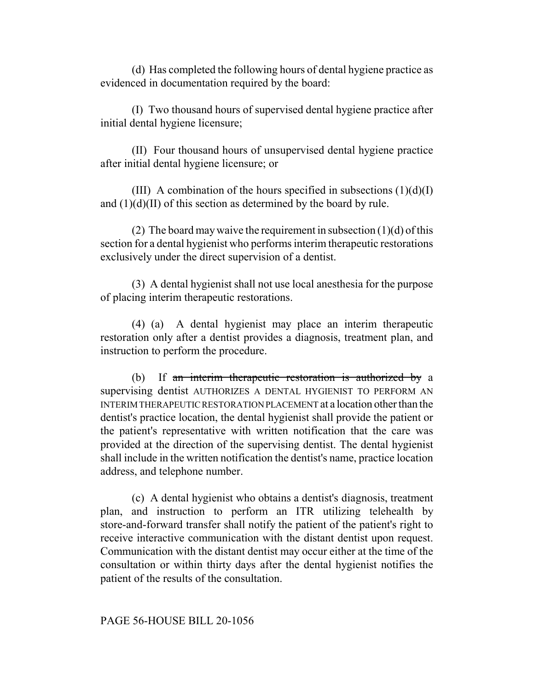(d) Has completed the following hours of dental hygiene practice as evidenced in documentation required by the board:

(I) Two thousand hours of supervised dental hygiene practice after initial dental hygiene licensure;

(II) Four thousand hours of unsupervised dental hygiene practice after initial dental hygiene licensure; or

(III) A combination of the hours specified in subsections  $(1)(d)(I)$ and  $(1)(d)(II)$  of this section as determined by the board by rule.

(2) The board may waive the requirement in subsection  $(1)(d)$  of this section for a dental hygienist who performs interim therapeutic restorations exclusively under the direct supervision of a dentist.

(3) A dental hygienist shall not use local anesthesia for the purpose of placing interim therapeutic restorations.

(4) (a) A dental hygienist may place an interim therapeutic restoration only after a dentist provides a diagnosis, treatment plan, and instruction to perform the procedure.

(b) If an interim therapeutic restoration is authorized by a supervising dentist AUTHORIZES A DENTAL HYGIENIST TO PERFORM AN INTERIM THERAPEUTIC RESTORATION PLACEMENT at a location other than the dentist's practice location, the dental hygienist shall provide the patient or the patient's representative with written notification that the care was provided at the direction of the supervising dentist. The dental hygienist shall include in the written notification the dentist's name, practice location address, and telephone number.

(c) A dental hygienist who obtains a dentist's diagnosis, treatment plan, and instruction to perform an ITR utilizing telehealth by store-and-forward transfer shall notify the patient of the patient's right to receive interactive communication with the distant dentist upon request. Communication with the distant dentist may occur either at the time of the consultation or within thirty days after the dental hygienist notifies the patient of the results of the consultation.

#### PAGE 56-HOUSE BILL 20-1056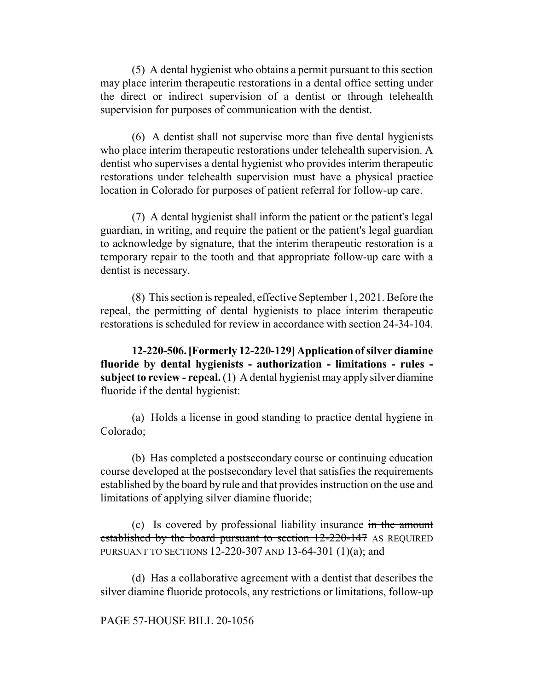(5) A dental hygienist who obtains a permit pursuant to this section may place interim therapeutic restorations in a dental office setting under the direct or indirect supervision of a dentist or through telehealth supervision for purposes of communication with the dentist.

(6) A dentist shall not supervise more than five dental hygienists who place interim therapeutic restorations under telehealth supervision. A dentist who supervises a dental hygienist who provides interim therapeutic restorations under telehealth supervision must have a physical practice location in Colorado for purposes of patient referral for follow-up care.

(7) A dental hygienist shall inform the patient or the patient's legal guardian, in writing, and require the patient or the patient's legal guardian to acknowledge by signature, that the interim therapeutic restoration is a temporary repair to the tooth and that appropriate follow-up care with a dentist is necessary.

(8) This section is repealed, effective September 1, 2021. Before the repeal, the permitting of dental hygienists to place interim therapeutic restorations is scheduled for review in accordance with section 24-34-104.

**12-220-506. [Formerly 12-220-129] Application of silver diamine fluoride by dental hygienists - authorization - limitations - rules subject to review - repeal.** (1) A dental hygienist may apply silver diamine fluoride if the dental hygienist:

(a) Holds a license in good standing to practice dental hygiene in Colorado;

(b) Has completed a postsecondary course or continuing education course developed at the postsecondary level that satisfies the requirements established by the board by rule and that provides instruction on the use and limitations of applying silver diamine fluoride;

(c) Is covered by professional liability insurance in the amount established by the board pursuant to section 12-220-147 AS REQUIRED PURSUANT TO SECTIONS 12-220-307 AND 13-64-301 (1)(a); and

(d) Has a collaborative agreement with a dentist that describes the silver diamine fluoride protocols, any restrictions or limitations, follow-up

#### PAGE 57-HOUSE BILL 20-1056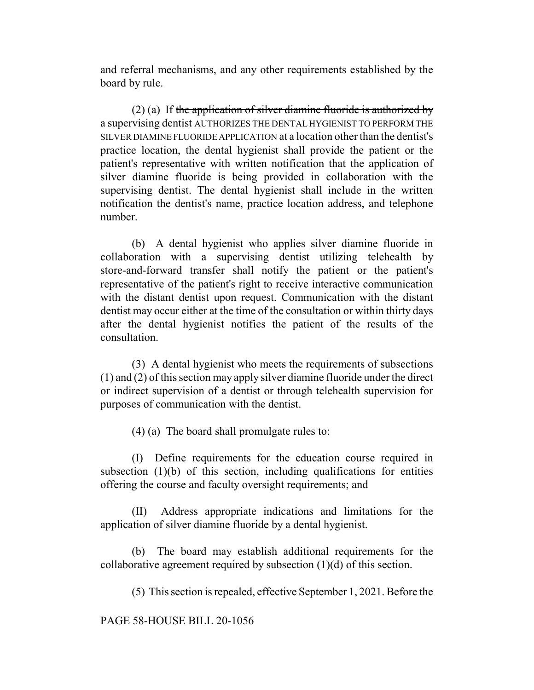and referral mechanisms, and any other requirements established by the board by rule.

(2) (a) If the application of silver diamine fluoride is authorized by a supervising dentist AUTHORIZES THE DENTAL HYGIENIST TO PERFORM THE SILVER DIAMINE FLUORIDE APPLICATION at a location other than the dentist's practice location, the dental hygienist shall provide the patient or the patient's representative with written notification that the application of silver diamine fluoride is being provided in collaboration with the supervising dentist. The dental hygienist shall include in the written notification the dentist's name, practice location address, and telephone number.

(b) A dental hygienist who applies silver diamine fluoride in collaboration with a supervising dentist utilizing telehealth by store-and-forward transfer shall notify the patient or the patient's representative of the patient's right to receive interactive communication with the distant dentist upon request. Communication with the distant dentist may occur either at the time of the consultation or within thirty days after the dental hygienist notifies the patient of the results of the consultation.

(3) A dental hygienist who meets the requirements of subsections (1) and (2) of this section may apply silver diamine fluoride under the direct or indirect supervision of a dentist or through telehealth supervision for purposes of communication with the dentist.

(4) (a) The board shall promulgate rules to:

(I) Define requirements for the education course required in subsection  $(1)(b)$  of this section, including qualifications for entities offering the course and faculty oversight requirements; and

(II) Address appropriate indications and limitations for the application of silver diamine fluoride by a dental hygienist.

(b) The board may establish additional requirements for the collaborative agreement required by subsection (1)(d) of this section.

(5) This section is repealed, effective September 1, 2021. Before the

PAGE 58-HOUSE BILL 20-1056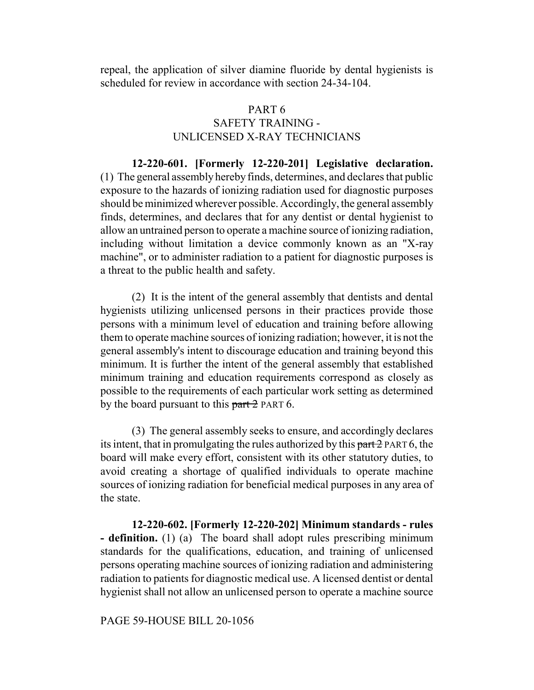repeal, the application of silver diamine fluoride by dental hygienists is scheduled for review in accordance with section 24-34-104.

# PART 6 SAFETY TRAINING - UNLICENSED X-RAY TECHNICIANS

**12-220-601. [Formerly 12-220-201] Legislative declaration.** (1) The general assembly hereby finds, determines, and declares that public exposure to the hazards of ionizing radiation used for diagnostic purposes should be minimized wherever possible. Accordingly, the general assembly finds, determines, and declares that for any dentist or dental hygienist to allow an untrained person to operate a machine source of ionizing radiation, including without limitation a device commonly known as an "X-ray machine", or to administer radiation to a patient for diagnostic purposes is a threat to the public health and safety.

(2) It is the intent of the general assembly that dentists and dental hygienists utilizing unlicensed persons in their practices provide those persons with a minimum level of education and training before allowing them to operate machine sources of ionizing radiation; however, it is not the general assembly's intent to discourage education and training beyond this minimum. It is further the intent of the general assembly that established minimum training and education requirements correspond as closely as possible to the requirements of each particular work setting as determined by the board pursuant to this part 2 PART 6.

(3) The general assembly seeks to ensure, and accordingly declares its intent, that in promulgating the rules authorized by this part 2 PART 6, the board will make every effort, consistent with its other statutory duties, to avoid creating a shortage of qualified individuals to operate machine sources of ionizing radiation for beneficial medical purposes in any area of the state.

**12-220-602. [Formerly 12-220-202] Minimum standards - rules - definition.** (1) (a) The board shall adopt rules prescribing minimum standards for the qualifications, education, and training of unlicensed persons operating machine sources of ionizing radiation and administering radiation to patients for diagnostic medical use. A licensed dentist or dental hygienist shall not allow an unlicensed person to operate a machine source

PAGE 59-HOUSE BILL 20-1056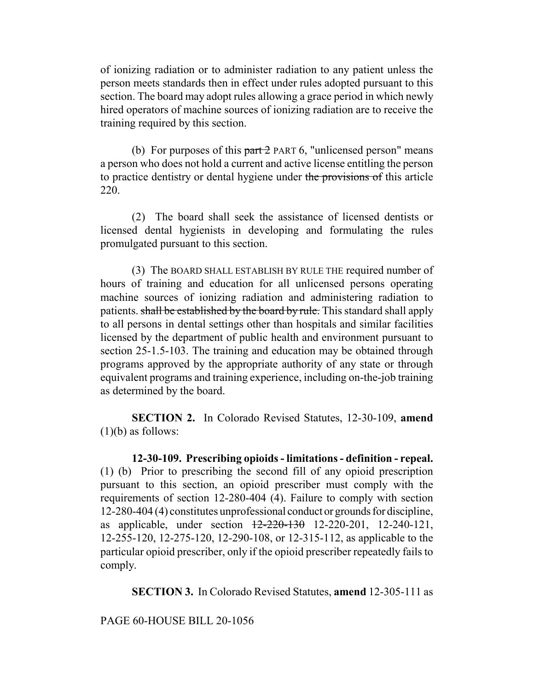of ionizing radiation or to administer radiation to any patient unless the person meets standards then in effect under rules adopted pursuant to this section. The board may adopt rules allowing a grace period in which newly hired operators of machine sources of ionizing radiation are to receive the training required by this section.

(b) For purposes of this  $part 2$  PART 6, "unlicensed person" means a person who does not hold a current and active license entitling the person to practice dentistry or dental hygiene under the provisions of this article 220.

(2) The board shall seek the assistance of licensed dentists or licensed dental hygienists in developing and formulating the rules promulgated pursuant to this section.

(3) The BOARD SHALL ESTABLISH BY RULE THE required number of hours of training and education for all unlicensed persons operating machine sources of ionizing radiation and administering radiation to patients. shall be established by the board by rule. This standard shall apply to all persons in dental settings other than hospitals and similar facilities licensed by the department of public health and environment pursuant to section 25-1.5-103. The training and education may be obtained through programs approved by the appropriate authority of any state or through equivalent programs and training experience, including on-the-job training as determined by the board.

**SECTION 2.** In Colorado Revised Statutes, 12-30-109, **amend**  $(1)(b)$  as follows:

**12-30-109. Prescribing opioids - limitations - definition - repeal.** (1) (b) Prior to prescribing the second fill of any opioid prescription pursuant to this section, an opioid prescriber must comply with the requirements of section 12-280-404 (4). Failure to comply with section 12-280-404 (4) constitutes unprofessional conduct or grounds for discipline, as applicable, under section 12-220-130 12-220-201, 12-240-121, 12-255-120, 12-275-120, 12-290-108, or 12-315-112, as applicable to the particular opioid prescriber, only if the opioid prescriber repeatedly fails to comply.

**SECTION 3.** In Colorado Revised Statutes, **amend** 12-305-111 as

PAGE 60-HOUSE BILL 20-1056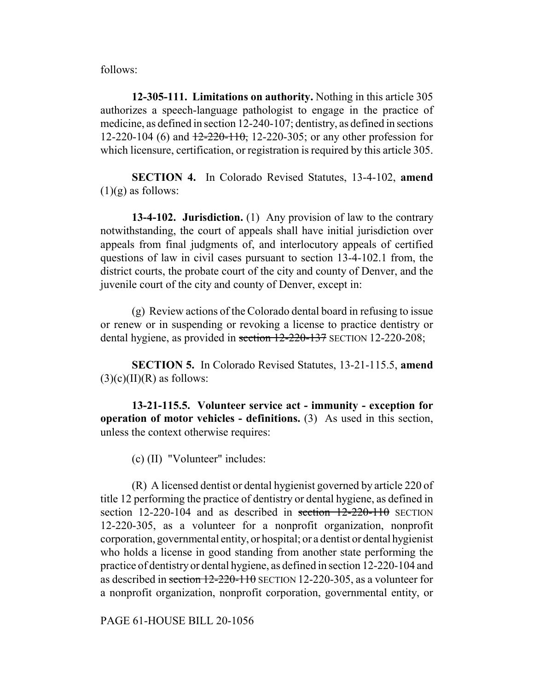follows:

**12-305-111. Limitations on authority.** Nothing in this article 305 authorizes a speech-language pathologist to engage in the practice of medicine, as defined in section 12-240-107; dentistry, as defined in sections 12-220-104 (6) and  $\frac{12-220-110}{2}$ , 12-220-305; or any other profession for which licensure, certification, or registration is required by this article 305.

**SECTION 4.** In Colorado Revised Statutes, 13-4-102, **amend**  $(1)(g)$  as follows:

**13-4-102. Jurisdiction.** (1) Any provision of law to the contrary notwithstanding, the court of appeals shall have initial jurisdiction over appeals from final judgments of, and interlocutory appeals of certified questions of law in civil cases pursuant to section 13-4-102.1 from, the district courts, the probate court of the city and county of Denver, and the juvenile court of the city and county of Denver, except in:

(g) Review actions of the Colorado dental board in refusing to issue or renew or in suspending or revoking a license to practice dentistry or dental hygiene, as provided in section 12-220-137 SECTION 12-220-208;

**SECTION 5.** In Colorado Revised Statutes, 13-21-115.5, **amend**  $(3)(c)(II)(R)$  as follows:

**13-21-115.5. Volunteer service act - immunity - exception for operation of motor vehicles - definitions.** (3) As used in this section, unless the context otherwise requires:

(c) (II) "Volunteer" includes:

(R) A licensed dentist or dental hygienist governed by article 220 of title 12 performing the practice of dentistry or dental hygiene, as defined in section 12-220-104 and as described in section  $12-220-110$  SECTION 12-220-305, as a volunteer for a nonprofit organization, nonprofit corporation, governmental entity, or hospital; or a dentist or dental hygienist who holds a license in good standing from another state performing the practice of dentistry or dental hygiene, as defined in section 12-220-104 and as described in section 12-220-110 SECTION 12-220-305, as a volunteer for a nonprofit organization, nonprofit corporation, governmental entity, or

PAGE 61-HOUSE BILL 20-1056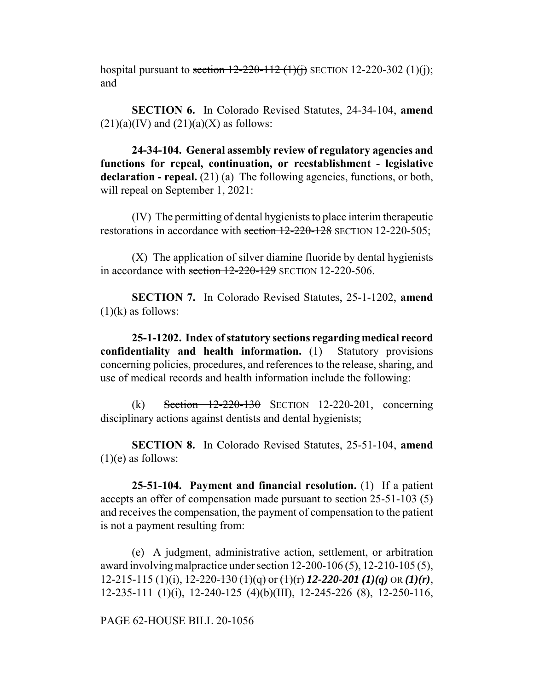hospital pursuant to section  $12-220-112$  (1)(j) SECTION 12-220-302 (1)(j); and

**SECTION 6.** In Colorado Revised Statutes, 24-34-104, **amend**  $(21)(a)(IV)$  and  $(21)(a)(X)$  as follows:

**24-34-104. General assembly review of regulatory agencies and functions for repeal, continuation, or reestablishment - legislative declaration - repeal.** (21) (a) The following agencies, functions, or both, will repeal on September 1, 2021:

(IV) The permitting of dental hygienists to place interim therapeutic restorations in accordance with section 12-220-128 SECTION 12-220-505;

(X) The application of silver diamine fluoride by dental hygienists in accordance with section  $12-220-129$  SECTION 12-220-506.

**SECTION 7.** In Colorado Revised Statutes, 25-1-1202, **amend**  $(1)(k)$  as follows:

**25-1-1202. Index of statutory sections regarding medical record confidentiality and health information.** (1) Statutory provisions concerning policies, procedures, and references to the release, sharing, and use of medical records and health information include the following:

(k) Section  $12-220-130$  SECTION 12-220-201, concerning disciplinary actions against dentists and dental hygienists;

**SECTION 8.** In Colorado Revised Statutes, 25-51-104, **amend**  $(1)(e)$  as follows:

**25-51-104. Payment and financial resolution.** (1) If a patient accepts an offer of compensation made pursuant to section 25-51-103 (5) and receives the compensation, the payment of compensation to the patient is not a payment resulting from:

(e) A judgment, administrative action, settlement, or arbitration award involving malpractice under section 12-200-106 (5), 12-210-105 (5), 12-215-115 (1)(i), 12-220-130 (1)(q) or (1)(r) *12-220-201 (1)(q)* OR *(1)(r)*, 12-235-111 (1)(i), 12-240-125 (4)(b)(III), 12-245-226 (8), 12-250-116,

PAGE 62-HOUSE BILL 20-1056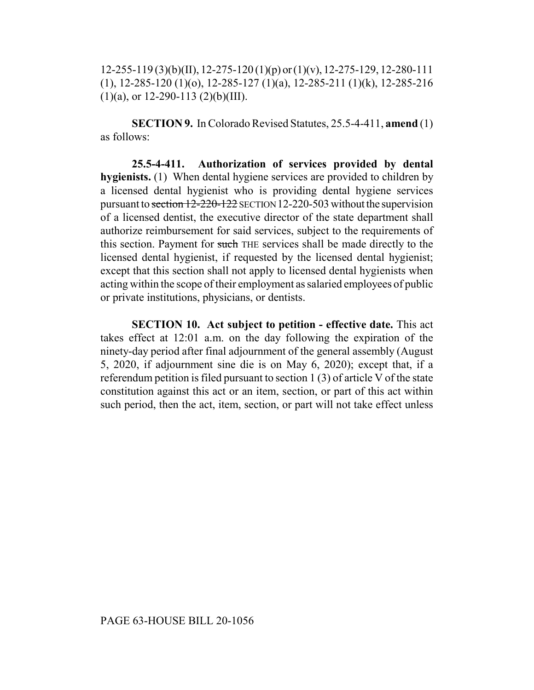12-255-119 (3)(b)(II), 12-275-120 (1)(p) or (1)(v), 12-275-129, 12-280-111 (1), 12-285-120 (1)(o), 12-285-127 (1)(a), 12-285-211 (1)(k), 12-285-216  $(1)(a)$ , or 12-290-113  $(2)(b)(III)$ .

**SECTION 9.** In Colorado Revised Statutes, 25.5-4-411, **amend** (1) as follows:

**25.5-4-411. Authorization of services provided by dental hygienists.** (1) When dental hygiene services are provided to children by a licensed dental hygienist who is providing dental hygiene services pursuant to section 12-220-122 SECTION 12-220-503 without the supervision of a licensed dentist, the executive director of the state department shall authorize reimbursement for said services, subject to the requirements of this section. Payment for such THE services shall be made directly to the licensed dental hygienist, if requested by the licensed dental hygienist; except that this section shall not apply to licensed dental hygienists when acting within the scope of their employment as salaried employees of public or private institutions, physicians, or dentists.

**SECTION 10. Act subject to petition - effective date.** This act takes effect at 12:01 a.m. on the day following the expiration of the ninety-day period after final adjournment of the general assembly (August 5, 2020, if adjournment sine die is on May 6, 2020); except that, if a referendum petition is filed pursuant to section 1 (3) of article V of the state constitution against this act or an item, section, or part of this act within such period, then the act, item, section, or part will not take effect unless